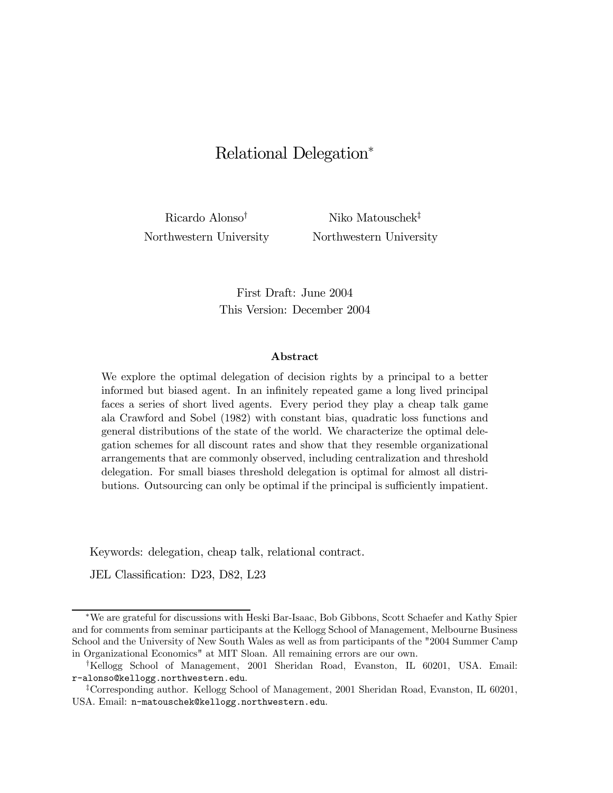# Relational Delegation<sup>∗</sup>

Ricardo Alonso<sup>†</sup> Niko Matouschek<sup>‡</sup> Northwestern University Northwestern University

First Draft: June 2004 This Version: December 2004

#### Abstract

We explore the optimal delegation of decision rights by a principal to a better informed but biased agent. In an infinitely repeated game a long lived principal faces a series of short lived agents. Every period they play a cheap talk game ala Crawford and Sobel (1982) with constant bias, quadratic loss functions and general distributions of the state of the world. We characterize the optimal delegation schemes for all discount rates and show that they resemble organizational arrangements that are commonly observed, including centralization and threshold delegation. For small biases threshold delegation is optimal for almost all distributions. Outsourcing can only be optimal if the principal is sufficiently impatient.

Keywords: delegation, cheap talk, relational contract.

JEL Classification: D23, D82, L23

<sup>∗</sup>We are grateful for discussions with Heski Bar-Isaac, Bob Gibbons, Scott Schaefer and Kathy Spier and for comments from seminar participants at the Kellogg School of Management, Melbourne Business School and the University of New South Wales as well as from participants of the "2004 Summer Camp in Organizational Economics" at MIT Sloan. All remaining errors are our own.

<sup>†</sup>Kellogg School of Management, 2001 Sheridan Road, Evanston, IL 60201, USA. Email: r-alonso@kellogg.northwestern.edu.

<sup>‡</sup>Corresponding author. Kellogg School of Management, 2001 Sheridan Road, Evanston, IL 60201, USA. Email: n-matouschek@kellogg.northwestern.edu.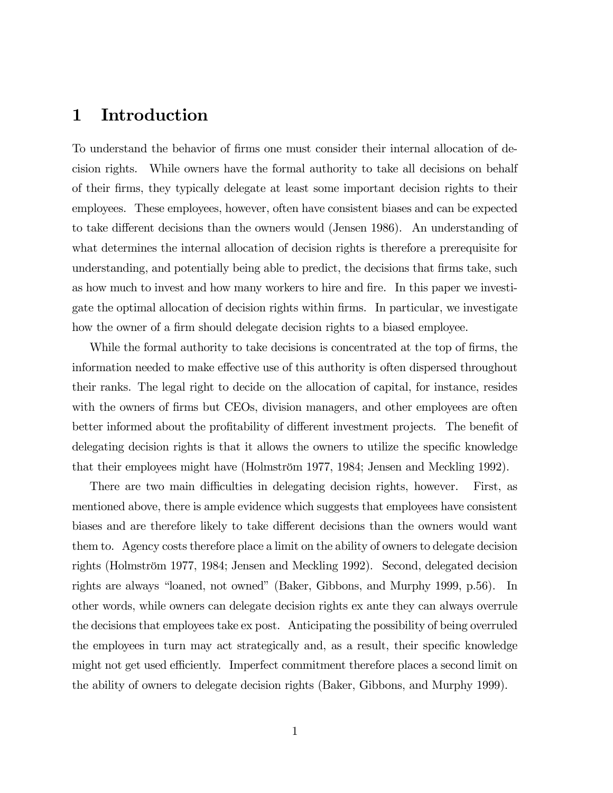# 1 Introduction

To understand the behavior of firms one must consider their internal allocation of decision rights. While owners have the formal authority to take all decisions on behalf of their firms, they typically delegate at least some important decision rights to their employees. These employees, however, often have consistent biases and can be expected to take different decisions than the owners would (Jensen 1986). An understanding of what determines the internal allocation of decision rights is therefore a prerequisite for understanding, and potentially being able to predict, the decisions that firms take, such as how much to invest and how many workers to hire and fire. In this paper we investigate the optimal allocation of decision rights within firms. In particular, we investigate how the owner of a firm should delegate decision rights to a biased employee.

While the formal authority to take decisions is concentrated at the top of firms, the information needed to make effective use of this authority is often dispersed throughout their ranks. The legal right to decide on the allocation of capital, for instance, resides with the owners of firms but CEOs, division managers, and other employees are often better informed about the profitability of different investment projects. The benefit of delegating decision rights is that it allows the owners to utilize the specific knowledge that their employees might have (Holmström 1977, 1984; Jensen and Meckling 1992).

There are two main difficulties in delegating decision rights, however. First, as mentioned above, there is ample evidence which suggests that employees have consistent biases and are therefore likely to take different decisions than the owners would want them to. Agency costs therefore place a limit on the ability of owners to delegate decision rights (Holmström 1977, 1984; Jensen and Meckling 1992). Second, delegated decision rights are always "loaned, not owned" (Baker, Gibbons, and Murphy 1999, p.56). In other words, while owners can delegate decision rights ex ante they can always overrule the decisions that employees take ex post. Anticipating the possibility of being overruled the employees in turn may act strategically and, as a result, their specific knowledge might not get used efficiently. Imperfect commitment therefore places a second limit on the ability of owners to delegate decision rights (Baker, Gibbons, and Murphy 1999).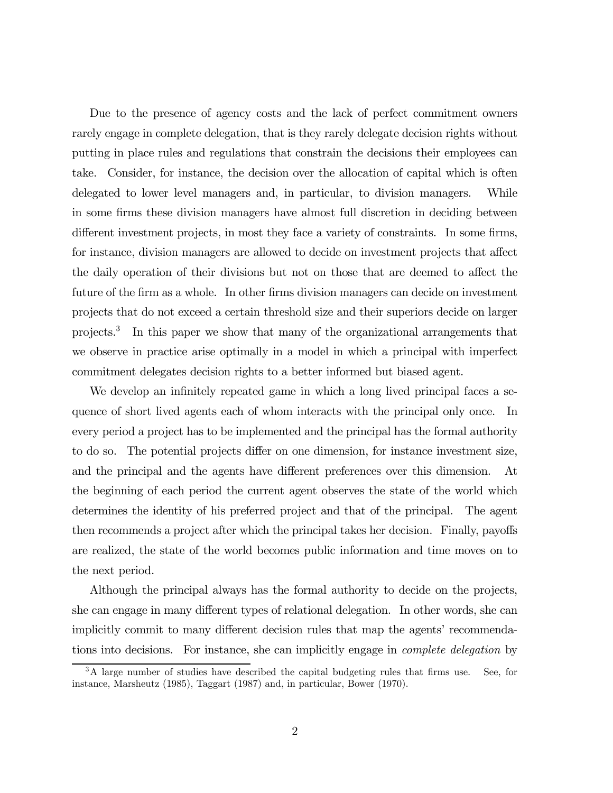Due to the presence of agency costs and the lack of perfect commitment owners rarely engage in complete delegation, that is they rarely delegate decision rights without putting in place rules and regulations that constrain the decisions their employees can take. Consider, for instance, the decision over the allocation of capital which is often delegated to lower level managers and, in particular, to division managers. While in some firms these division managers have almost full discretion in deciding between different investment projects, in most they face a variety of constraints. In some firms, for instance, division managers are allowed to decide on investment projects that affect the daily operation of their divisions but not on those that are deemed to affect the future of the firm as a whole. In other firms division managers can decide on investment projects that do not exceed a certain threshold size and their superiors decide on larger projects.3 In this paper we show that many of the organizational arrangements that we observe in practice arise optimally in a model in which a principal with imperfect commitment delegates decision rights to a better informed but biased agent.

We develop an infinitely repeated game in which a long lived principal faces a sequence of short lived agents each of whom interacts with the principal only once. In every period a project has to be implemented and the principal has the formal authority to do so. The potential projects differ on one dimension, for instance investment size, and the principal and the agents have different preferences over this dimension. At the beginning of each period the current agent observes the state of the world which determines the identity of his preferred project and that of the principal. The agent then recommends a project after which the principal takes her decision. Finally, payoffs are realized, the state of the world becomes public information and time moves on to the next period.

Although the principal always has the formal authority to decide on the projects, she can engage in many different types of relational delegation. In other words, she can implicitly commit to many different decision rules that map the agents' recommendations into decisions. For instance, she can implicitly engage in complete delegation by

<sup>&</sup>lt;sup>3</sup>A large number of studies have described the capital budgeting rules that firms use. See, for instance, Marsheutz (1985), Taggart (1987) and, in particular, Bower (1970).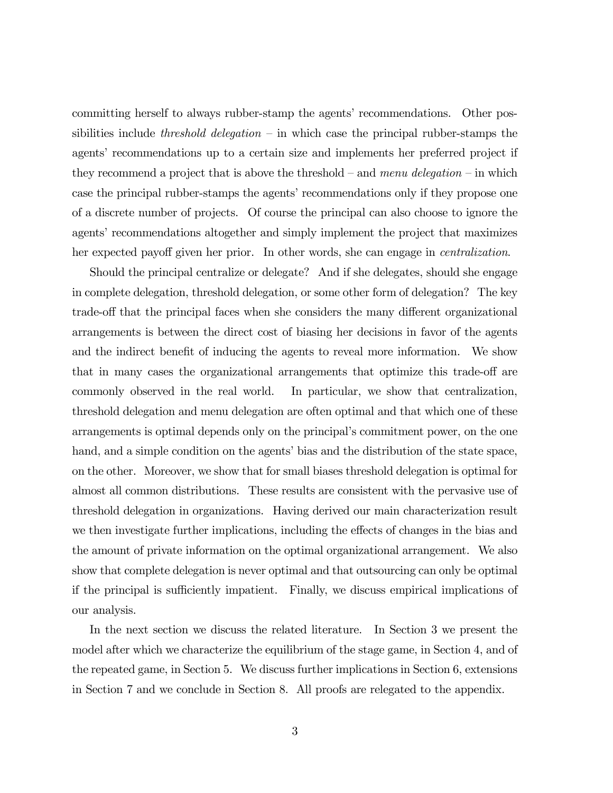committing herself to always rubber-stamp the agents' recommendations. Other possibilities include threshold delegation – in which case the principal rubber-stamps the agents' recommendations up to a certain size and implements her preferred project if they recommend a project that is above the threshold – and menu delegation – in which case the principal rubber-stamps the agents' recommendations only if they propose one of a discrete number of projects. Of course the principal can also choose to ignore the agents' recommendations altogether and simply implement the project that maximizes her expected payoff given her prior. In other words, she can engage in centralization.

Should the principal centralize or delegate? And if she delegates, should she engage in complete delegation, threshold delegation, or some other form of delegation? The key trade-off that the principal faces when she considers the many different organizational arrangements is between the direct cost of biasing her decisions in favor of the agents and the indirect benefit of inducing the agents to reveal more information. We show that in many cases the organizational arrangements that optimize this trade-off are commonly observed in the real world. In particular, we show that centralization, threshold delegation and menu delegation are often optimal and that which one of these arrangements is optimal depends only on the principal's commitment power, on the one hand, and a simple condition on the agents' bias and the distribution of the state space, on the other. Moreover, we show that for small biases threshold delegation is optimal for almost all common distributions. These results are consistent with the pervasive use of threshold delegation in organizations. Having derived our main characterization result we then investigate further implications, including the effects of changes in the bias and the amount of private information on the optimal organizational arrangement. We also show that complete delegation is never optimal and that outsourcing can only be optimal if the principal is sufficiently impatient. Finally, we discuss empirical implications of our analysis.

In the next section we discuss the related literature. In Section 3 we present the model after which we characterize the equilibrium of the stage game, in Section 4, and of the repeated game, in Section 5. We discuss further implications in Section 6, extensions in Section 7 and we conclude in Section 8. All proofs are relegated to the appendix.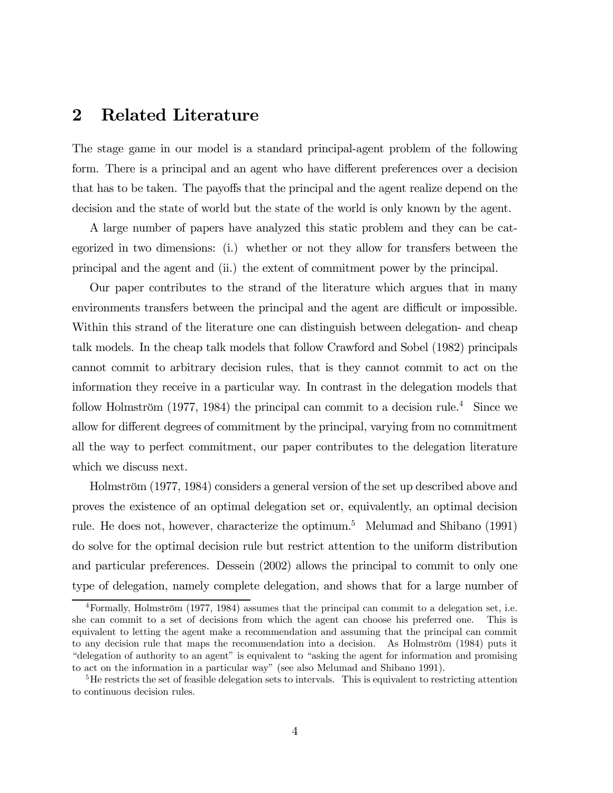# 2 Related Literature

The stage game in our model is a standard principal-agent problem of the following form. There is a principal and an agent who have different preferences over a decision that has to be taken. The payoffs that the principal and the agent realize depend on the decision and the state of world but the state of the world is only known by the agent.

A large number of papers have analyzed this static problem and they can be categorized in two dimensions: (i.) whether or not they allow for transfers between the principal and the agent and (ii.) the extent of commitment power by the principal.

Our paper contributes to the strand of the literature which argues that in many environments transfers between the principal and the agent are difficult or impossible. Within this strand of the literature one can distinguish between delegation- and cheap talk models. In the cheap talk models that follow Crawford and Sobel (1982) principals cannot commit to arbitrary decision rules, that is they cannot commit to act on the information they receive in a particular way. In contrast in the delegation models that follow Holmström (1977, 1984) the principal can commit to a decision rule.<sup>4</sup> Since we allow for different degrees of commitment by the principal, varying from no commitment all the way to perfect commitment, our paper contributes to the delegation literature which we discuss next.

Holmström (1977, 1984) considers a general version of the set up described above and proves the existence of an optimal delegation set or, equivalently, an optimal decision rule. He does not, however, characterize the optimum.5 Melumad and Shibano (1991) do solve for the optimal decision rule but restrict attention to the uniform distribution and particular preferences. Dessein (2002) allows the principal to commit to only one type of delegation, namely complete delegation, and shows that for a large number of

<sup>4</sup>Formally, Holmström (1977, 1984) assumes that the principal can commit to a delegation set, i.e. she can commit to a set of decisions from which the agent can choose his preferred one. This is equivalent to letting the agent make a recommendation and assuming that the principal can commit to any decision rule that maps the recommendation into a decision. As Holmström (1984) puts it "delegation of authority to an agent" is equivalent to "asking the agent for information and promising to act on the information in a particular way" (see also Melumad and Shibano 1991).

<sup>&</sup>lt;sup>5</sup>He restricts the set of feasible delegation sets to intervals. This is equivalent to restricting attention to continuous decision rules.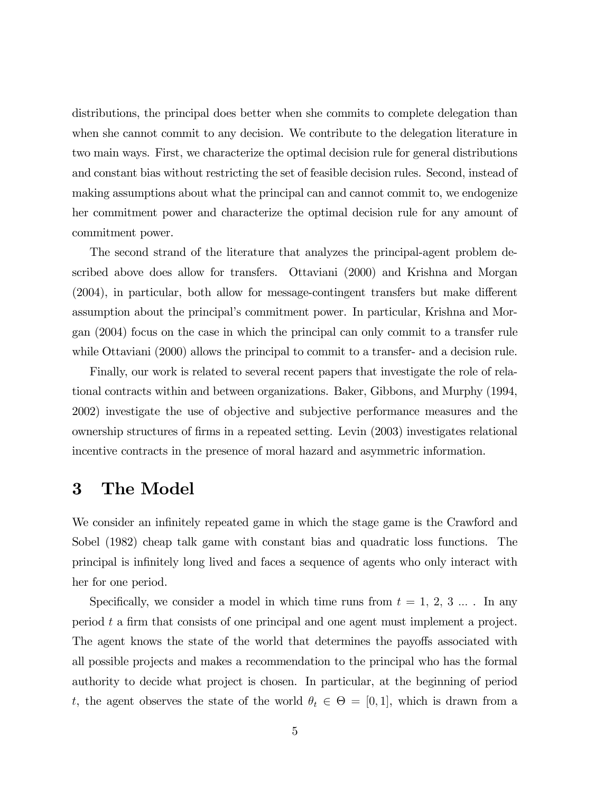distributions, the principal does better when she commits to complete delegation than when she cannot commit to any decision. We contribute to the delegation literature in two main ways. First, we characterize the optimal decision rule for general distributions and constant bias without restricting the set of feasible decision rules. Second, instead of making assumptions about what the principal can and cannot commit to, we endogenize her commitment power and characterize the optimal decision rule for any amount of commitment power.

The second strand of the literature that analyzes the principal-agent problem described above does allow for transfers. Ottaviani (2000) and Krishna and Morgan (2004), in particular, both allow for message-contingent transfers but make different assumption about the principal's commitment power. In particular, Krishna and Morgan (2004) focus on the case in which the principal can only commit to a transfer rule while Ottaviani (2000) allows the principal to commit to a transfer- and a decision rule.

Finally, our work is related to several recent papers that investigate the role of relational contracts within and between organizations. Baker, Gibbons, and Murphy (1994, 2002) investigate the use of objective and subjective performance measures and the ownership structures of firms in a repeated setting. Levin (2003) investigates relational incentive contracts in the presence of moral hazard and asymmetric information.

## 3 The Model

We consider an infinitely repeated game in which the stage game is the Crawford and Sobel (1982) cheap talk game with constant bias and quadratic loss functions. The principal is infinitely long lived and faces a sequence of agents who only interact with her for one period.

Specifically, we consider a model in which time runs from  $t = 1, 2, 3 ...$ . In any period t a firm that consists of one principal and one agent must implement a project. The agent knows the state of the world that determines the payoffs associated with all possible projects and makes a recommendation to the principal who has the formal authority to decide what project is chosen. In particular, at the beginning of period t, the agent observes the state of the world  $\theta_t \in \Theta = [0, 1]$ , which is drawn from a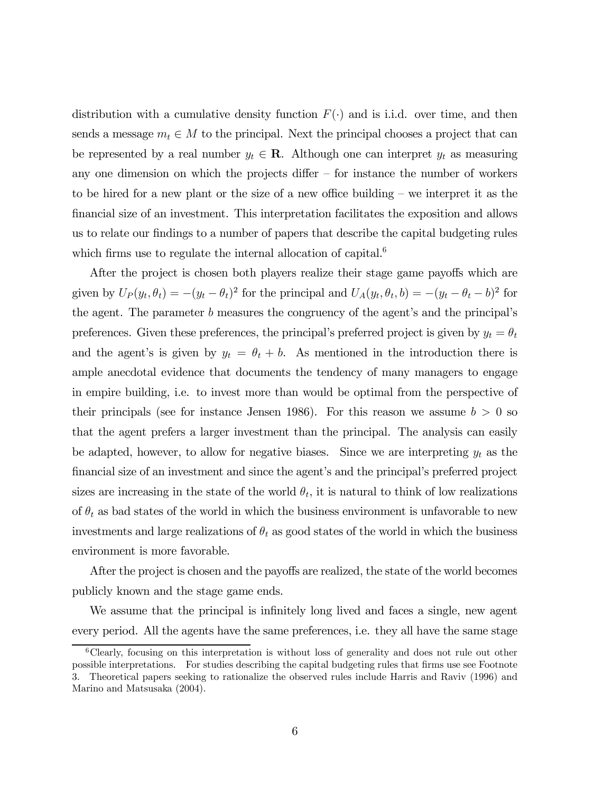distribution with a cumulative density function  $F(\cdot)$  and is i.i.d. over time, and then sends a message  $m_t \in M$  to the principal. Next the principal chooses a project that can be represented by a real number  $y_t \in \mathbf{R}$ . Although one can interpret  $y_t$  as measuring any one dimension on which the projects differ  $-$  for instance the number of workers to be hired for a new plant or the size of a new office building — we interpret it as the financial size of an investment. This interpretation facilitates the exposition and allows us to relate our findings to a number of papers that describe the capital budgeting rules which firms use to regulate the internal allocation of capital.<sup>6</sup>

After the project is chosen both players realize their stage game payoffs which are given by  $U_P(y_t, \theta_t) = -(y_t - \theta_t)^2$  for the principal and  $U_A(y_t, \theta_t, b) = -(y_t - \theta_t - b)^2$  for the agent. The parameter b measures the congruency of the agent's and the principal's preferences. Given these preferences, the principal's preferred project is given by  $y_t = \theta_t$ and the agent's is given by  $y_t = \theta_t + b$ . As mentioned in the introduction there is ample anecdotal evidence that documents the tendency of many managers to engage in empire building, i.e. to invest more than would be optimal from the perspective of their principals (see for instance Jensen 1986). For this reason we assume  $b > 0$  so that the agent prefers a larger investment than the principal. The analysis can easily be adapted, however, to allow for negative biases. Since we are interpreting  $y_t$  as the financial size of an investment and since the agent's and the principal's preferred project sizes are increasing in the state of the world  $\theta_t$ , it is natural to think of low realizations of  $\theta_t$  as bad states of the world in which the business environment is unfavorable to new investments and large realizations of  $\theta_t$  as good states of the world in which the business environment is more favorable.

After the project is chosen and the payoffs are realized, the state of the world becomes publicly known and the stage game ends.

We assume that the principal is infinitely long lived and faces a single, new agent every period. All the agents have the same preferences, i.e. they all have the same stage

<sup>6</sup>Clearly, focusing on this interpretation is without loss of generality and does not rule out other possible interpretations. For studies describing the capital budgeting rules that firms use see Footnote 3. Theoretical papers seeking to rationalize the observed rules include Harris and Raviv (1996) and Marino and Matsusaka (2004).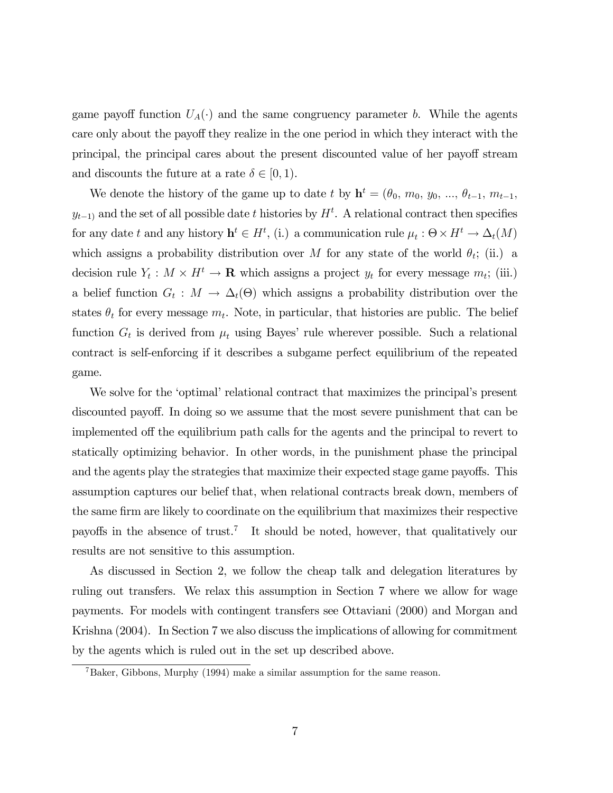game payoff function  $U_A(\cdot)$  and the same congruency parameter b. While the agents care only about the payoff they realize in the one period in which they interact with the principal, the principal cares about the present discounted value of her payoff stream and discounts the future at a rate  $\delta \in [0, 1)$ .

We denote the history of the game up to date t by  $\mathbf{h}^t = (\theta_0, m_0, y_0, ..., \theta_{t-1}, m_{t-1},$  $y_{t-1}$  and the set of all possible date t histories by  $H^t$ . A relational contract then specifies for any date t and any history  $\mathbf{h}^t \in H^t$ , (i.) a communication rule  $\mu_t : \Theta \times H^t \to \Delta_t(M)$ which assigns a probability distribution over M for any state of the world  $\theta_t$ ; (ii.) a decision rule  $Y_t : M \times H^t \to \mathbf{R}$  which assigns a project  $y_t$  for every message  $m_t$ ; (iii.) a belief function  $G_t : M \to \Delta_t(\Theta)$  which assigns a probability distribution over the states  $\theta_t$  for every message  $m_t$ . Note, in particular, that histories are public. The belief function  $G_t$  is derived from  $\mu_t$  using Bayes' rule wherever possible. Such a relational contract is self-enforcing if it describes a subgame perfect equilibrium of the repeated game.

We solve for the 'optimal' relational contract that maximizes the principal's present discounted payoff. In doing so we assume that the most severe punishment that can be implemented off the equilibrium path calls for the agents and the principal to revert to statically optimizing behavior. In other words, in the punishment phase the principal and the agents play the strategies that maximize their expected stage game payoffs. This assumption captures our belief that, when relational contracts break down, members of the same firm are likely to coordinate on the equilibrium that maximizes their respective payoffs in the absence of trust.7 It should be noted, however, that qualitatively our results are not sensitive to this assumption.

As discussed in Section 2, we follow the cheap talk and delegation literatures by ruling out transfers. We relax this assumption in Section 7 where we allow for wage payments. For models with contingent transfers see Ottaviani (2000) and Morgan and Krishna (2004). In Section 7 we also discuss the implications of allowing for commitment by the agents which is ruled out in the set up described above.

 $^7$ Baker, Gibbons, Murphy (1994) make a similar assumption for the same reason.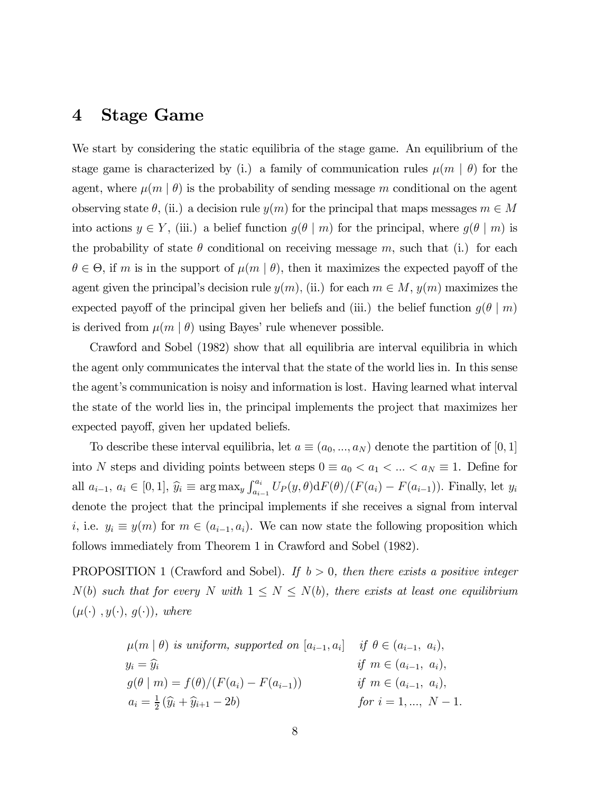### 4 Stage Game

We start by considering the static equilibria of the stage game. An equilibrium of the stage game is characterized by (i.) a family of communication rules  $\mu(m \mid \theta)$  for the agent, where  $\mu(m \mid \theta)$  is the probability of sending message m conditional on the agent observing state  $\theta$ , (ii.) a decision rule  $y(m)$  for the principal that maps messages  $m \in M$ into actions  $y \in Y$ , (iii.) a belief function  $g(\theta | m)$  for the principal, where  $g(\theta | m)$  is the probability of state  $\theta$  conditional on receiving message m, such that (i.) for each  $\theta \in \Theta$ , if m is in the support of  $\mu(m \mid \theta)$ , then it maximizes the expected payoff of the agent given the principal's decision rule  $y(m)$ , (ii.) for each  $m \in M$ ,  $y(m)$  maximizes the expected payoff of the principal given her beliefs and (iii.) the belief function  $g(\theta | m)$ is derived from  $\mu(m \mid \theta)$  using Bayes' rule whenever possible.

Crawford and Sobel (1982) show that all equilibria are interval equilibria in which the agent only communicates the interval that the state of the world lies in. In this sense the agent's communication is noisy and information is lost. Having learned what interval the state of the world lies in, the principal implements the project that maximizes her expected payoff, given her updated beliefs.

To describe these interval equilibria, let  $a \equiv (a_0, ..., a_N)$  denote the partition of [0, 1] into N steps and dividing points between steps  $0 \equiv a_0 < a_1 < ... < a_N \equiv 1$ . Define for all  $a_{i-1}, a_i \in [0,1], \hat{y}_i \equiv \arg \max_y \int_{a_{i-1}}^{a_i} U_P(y,\theta) dF(\theta) / (F(a_i) - F(a_{i-1}))$ . Finally, let  $y_i$ denote the project that the principal implements if she receives a signal from interval i, i.e.  $y_i \equiv y(m)$  for  $m \in (a_{i-1}, a_i)$ . We can now state the following proposition which follows immediately from Theorem 1 in Crawford and Sobel (1982).

PROPOSITION 1 (Crawford and Sobel). If  $b > 0$ , then there exists a positive integer  $N(b)$  such that for every N with  $1 \leq N \leq N(b)$ , there exists at least one equilibrium  $(\mu(\cdot), y(\cdot), g(\cdot)),$  where

$$
\mu(m \mid \theta)
$$
 is uniform, supported on  $[a_{i-1}, a_i]$  if  $\theta \in (a_{i-1}, a_i)$ ,  
\n $y_i = \hat{y}_i$  if  $m \in (a_{i-1}, a_i)$ ,  
\n $g(\theta \mid m) = f(\theta)/(F(a_i) - F(a_{i-1}))$  if  $m \in (a_{i-1}, a_i)$ ,  
\n $a_i = \frac{1}{2}(\hat{y}_i + \hat{y}_{i+1} - 2b)$  for  $i = 1, ..., N - 1$ .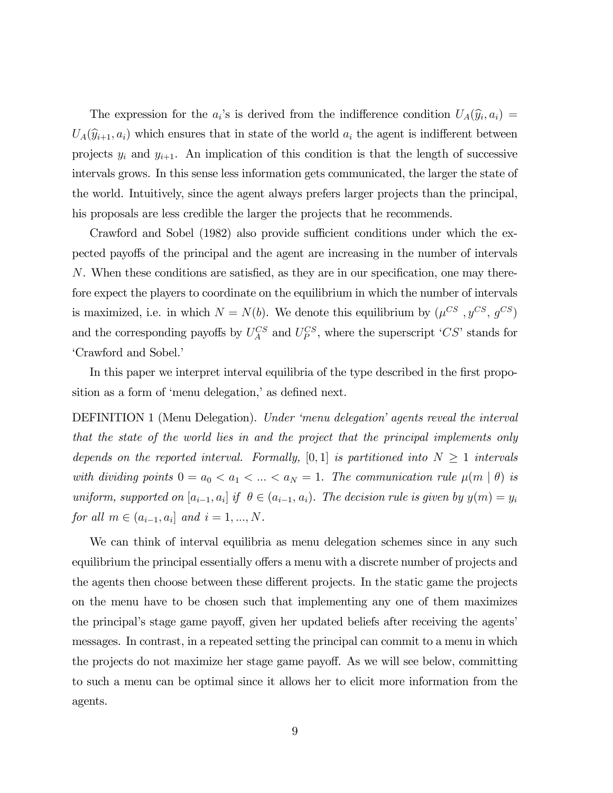The expression for the  $a_i$ 's is derived from the indifference condition  $U_A(\hat{y}_i, a_i)$  =  $U_A(\widehat{y}_{i+1}, a_i)$  which ensures that in state of the world  $a_i$  the agent is indifferent between projects  $y_i$  and  $y_{i+1}$ . An implication of this condition is that the length of successive intervals grows. In this sense less information gets communicated, the larger the state of the world. Intuitively, since the agent always prefers larger projects than the principal, his proposals are less credible the larger the projects that he recommends.

Crawford and Sobel (1982) also provide sufficient conditions under which the expected payoffs of the principal and the agent are increasing in the number of intervals N. When these conditions are satisfied, as they are in our specification, one may therefore expect the players to coordinate on the equilibrium in which the number of intervals is maximized, i.e. in which  $N = N(b)$ . We denote this equilibrium by  $(\mu^{CS}, y^{CS}, g^{CS})$ and the corresponding payoffs by  $U_A^{CS}$  and  $U_P^{CS}$ , where the superscript 'CS' stands for 'Crawford and Sobel.'

In this paper we interpret interval equilibria of the type described in the first proposition as a form of 'menu delegation,' as defined next.

DEFINITION 1 (Menu Delegation). Under 'menu delegation' agents reveal the interval that the state of the world lies in and the project that the principal implements only depends on the reported interval. Formally, [0, 1] is partitioned into  $N \geq 1$  intervals with dividing points  $0 = a_0 < a_1 < ... < a_N = 1$ . The communication rule  $\mu(m \mid \theta)$  is uniform, supported on  $[a_{i-1}, a_i]$  if  $\theta \in (a_{i-1}, a_i)$ . The decision rule is given by  $y(m) = y_i$ for all  $m \in (a_{i-1}, a_i]$  and  $i = 1, ..., N$ .

We can think of interval equilibria as menu delegation schemes since in any such equilibrium the principal essentially offers a menu with a discrete number of projects and the agents then choose between these different projects. In the static game the projects on the menu have to be chosen such that implementing any one of them maximizes the principal's stage game payoff, given her updated beliefs after receiving the agents' messages. In contrast, in a repeated setting the principal can commit to a menu in which the projects do not maximize her stage game payoff. As we will see below, committing to such a menu can be optimal since it allows her to elicit more information from the agents.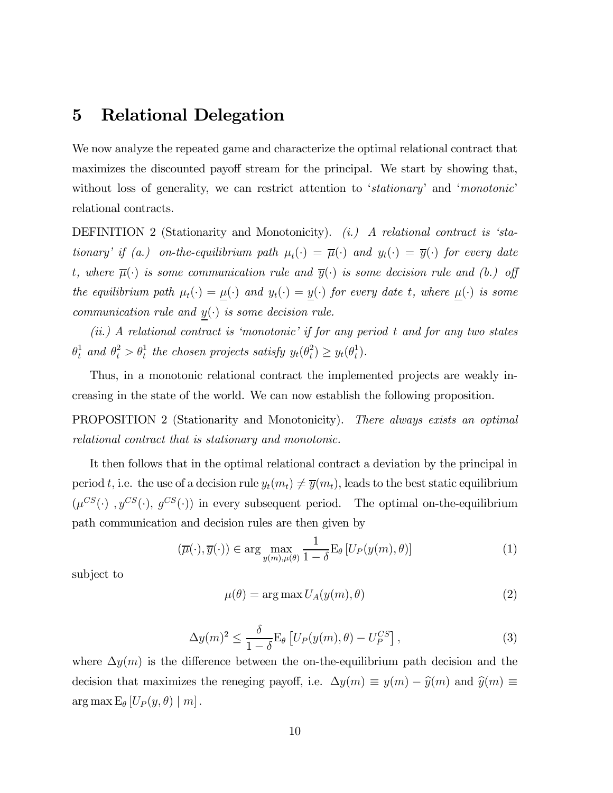# 5 Relational Delegation

We now analyze the repeated game and characterize the optimal relational contract that maximizes the discounted payoff stream for the principal. We start by showing that, without loss of generality, we can restrict attention to 'stationary' and 'monotonic' relational contracts.

DEFINITION 2 (Stationarity and Monotonicity). (i.) A relational contract is 'stationary' if (a.) on-the-equilibrium path  $\mu_t(\cdot) = \overline{\mu}(\cdot)$  and  $y_t(\cdot) = \overline{y}(\cdot)$  for every date t, where  $\overline{\mu}(\cdot)$  is some communication rule and  $\overline{y}(\cdot)$  is some decision rule and (b.) off the equilibrium path  $\mu_t(\cdot) = \underline{\mu}(\cdot)$  and  $y_t(\cdot) = \underline{y}(\cdot)$  for every date t, where  $\underline{\mu}(\cdot)$  is some communication rule and  $y(\cdot)$  is some decision rule.

(ii.) A relational contract is 'monotonic' if for any period t and for any two states  $\theta_t^1$  and  $\theta_t^2 > \theta_t^1$  the chosen projects satisfy  $y_t(\theta_t^2) \ge y_t(\theta_t^1)$ .

Thus, in a monotonic relational contract the implemented projects are weakly increasing in the state of the world. We can now establish the following proposition.

PROPOSITION 2 (Stationarity and Monotonicity). There always exists an optimal relational contract that is stationary and monotonic.

It then follows that in the optimal relational contract a deviation by the principal in period t, i.e. the use of a decision rule  $y_t(m_t) \neq \overline{y}(m_t)$ , leads to the best static equilibrium  $(\mu^{CS}(\cdot), y^{CS}(\cdot), g^{CS}(\cdot))$  in every subsequent period. The optimal on-the-equilibrium path communication and decision rules are then given by

$$
(\overline{\mu}(\cdot), \overline{y}(\cdot)) \in \arg\max_{y(m), \mu(\theta)} \frac{1}{1-\delta} \mathcal{E}_{\theta} \left[ U_P(y(m), \theta) \right]
$$
 (1)

subject to

$$
\mu(\theta) = \arg \max U_A(y(m), \theta) \tag{2}
$$

$$
\Delta y(m)^2 \le \frac{\delta}{1-\delta} \mathcal{E}_{\theta} \left[ U_P(y(m), \theta) - U_P^{CS} \right],\tag{3}
$$

where  $\Delta y(m)$  is the difference between the on-the-equilibrium path decision and the decision that maximizes the reneging payoff, i.e.  $\Delta y(m) \equiv y(m) - \hat{y}(m)$  and  $\hat{y}(m) \equiv$  $\arg \max E_{\theta} [U_P(y, \theta) | m].$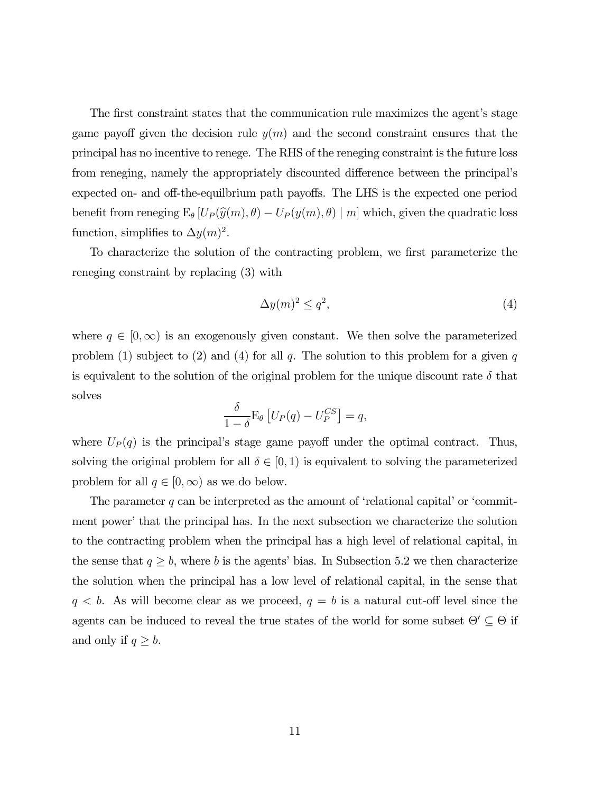The first constraint states that the communication rule maximizes the agent's stage game payoff given the decision rule  $y(m)$  and the second constraint ensures that the principal has no incentive to renege. The RHS of the reneging constraint is the future loss from reneging, namely the appropriately discounted difference between the principal's expected on- and off-the-equilbrium path payoffs. The LHS is the expected one period benefit from reneging  $E_{\theta}$  [ $U_P(\hat{y}(m), \theta) - U_P(y(m), \theta)$  | m] which, given the quadratic loss function, simplifies to  $\Delta y(m)^2$ .

To characterize the solution of the contracting problem, we first parameterize the reneging constraint by replacing (3) with

$$
\Delta y(m)^2 \le q^2,\tag{4}
$$

where  $q \in [0,\infty)$  is an exogenously given constant. We then solve the parameterized problem (1) subject to (2) and (4) for all q. The solution to this problem for a given q is equivalent to the solution of the original problem for the unique discount rate  $\delta$  that solves

$$
\frac{\delta}{1-\delta} \mathcal{E}_{\theta} \left[ U_P(q) - U_P^{CS} \right] = q,
$$

where  $U_P(q)$  is the principal's stage game payoff under the optimal contract. Thus, solving the original problem for all  $\delta \in [0,1)$  is equivalent to solving the parameterized problem for all  $q \in [0, \infty)$  as we do below.

The parameter  $q$  can be interpreted as the amount of 'relational capital' or 'commitment power' that the principal has. In the next subsection we characterize the solution to the contracting problem when the principal has a high level of relational capital, in the sense that  $q \geq b$ , where b is the agents' bias. In Subsection 5.2 we then characterize the solution when the principal has a low level of relational capital, in the sense that  $q < b$ . As will become clear as we proceed,  $q = b$  is a natural cut-off level since the agents can be induced to reveal the true states of the world for some subset  $\Theta' \subseteq \Theta$  if and only if  $q \geq b$ .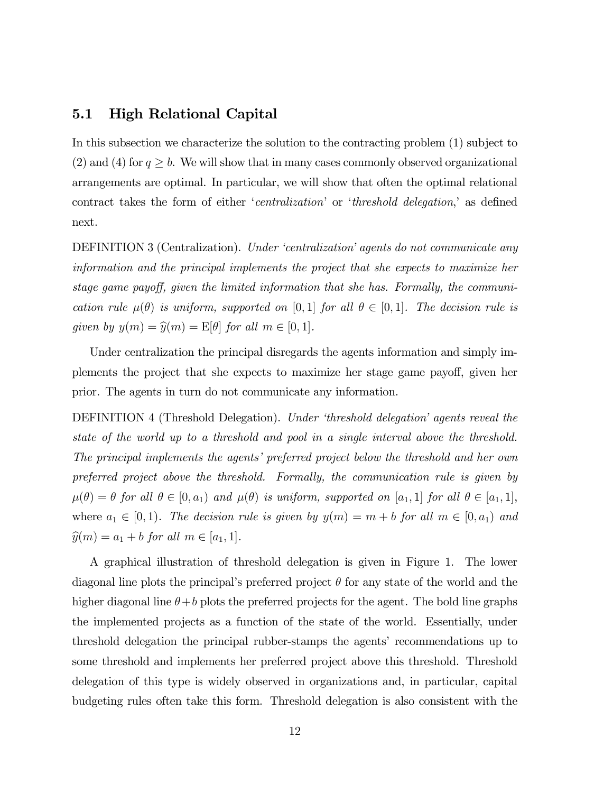### 5.1 High Relational Capital

In this subsection we characterize the solution to the contracting problem (1) subject to (2) and (4) for  $q \ge b$ . We will show that in many cases commonly observed organizational arrangements are optimal. In particular, we will show that often the optimal relational contract takes the form of either 'centralization' or 'threshold delegation,' as defined next.

DEFINITION 3 (Centralization). Under 'centralization' agents do not communicate any information and the principal implements the project that she expects to maximize her stage game payoff, given the limited information that she has. Formally, the communication rule  $\mu(\theta)$  is uniform, supported on [0,1] for all  $\theta \in [0,1]$ . The decision rule is given by  $y(m) = \hat{y}(m) = E[\theta]$  for all  $m \in [0, 1]$ .

Under centralization the principal disregards the agents information and simply implements the project that she expects to maximize her stage game payoff, given her prior. The agents in turn do not communicate any information.

DEFINITION 4 (Threshold Delegation). Under 'threshold delegation' agents reveal the state of the world up to a threshold and pool in a single interval above the threshold. The principal implements the agents' preferred project below the threshold and her own preferred project above the threshold. Formally, the communication rule is given by  $\mu(\theta) = \theta$  for all  $\theta \in [0, a_1)$  and  $\mu(\theta)$  is uniform, supported on  $[a_1, 1]$  for all  $\theta \in [a_1, 1]$ , where  $a_1 \in [0, 1)$ . The decision rule is given by  $y(m) = m + b$  for all  $m \in [0, a_1)$  and  $\widehat{y}(m) = a_1 + b$  for all  $m \in [a_1, 1]$ .

A graphical illustration of threshold delegation is given in Figure 1. The lower diagonal line plots the principal's preferred project  $\theta$  for any state of the world and the higher diagonal line  $\theta + b$  plots the preferred projects for the agent. The bold line graphs the implemented projects as a function of the state of the world. Essentially, under threshold delegation the principal rubber-stamps the agents' recommendations up to some threshold and implements her preferred project above this threshold. Threshold delegation of this type is widely observed in organizations and, in particular, capital budgeting rules often take this form. Threshold delegation is also consistent with the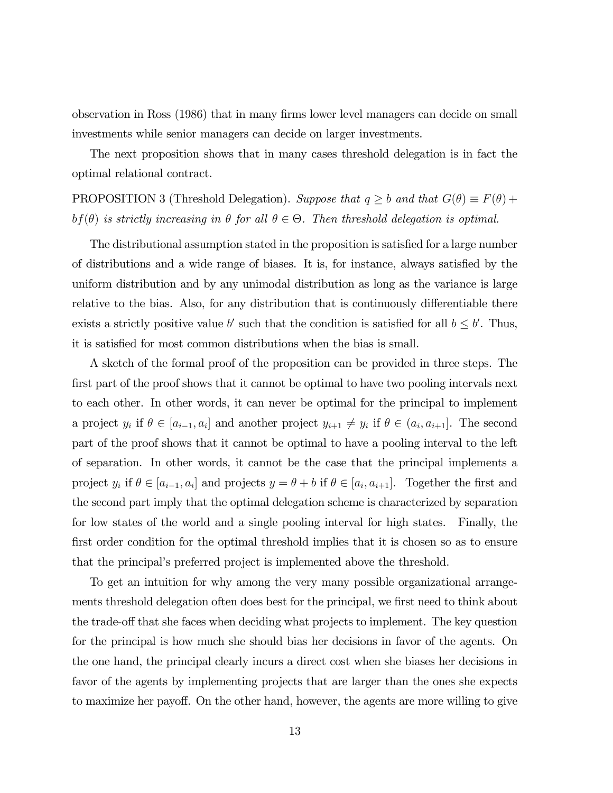observation in Ross (1986) that in many firms lower level managers can decide on small investments while senior managers can decide on larger investments.

The next proposition shows that in many cases threshold delegation is in fact the optimal relational contract.

PROPOSITION 3 (Threshold Delegation). Suppose that  $q \ge b$  and that  $G(\theta) \equiv F(\theta) +$ bf( $\theta$ ) is strictly increasing in  $\theta$  for all  $\theta \in \Theta$ . Then threshold delegation is optimal.

The distributional assumption stated in the proposition is satisfied for a large number of distributions and a wide range of biases. It is, for instance, always satisfied by the uniform distribution and by any unimodal distribution as long as the variance is large relative to the bias. Also, for any distribution that is continuously differentiable there exists a strictly positive value b' such that the condition is satisfied for all  $b \leq b'$ . Thus, it is satisfied for most common distributions when the bias is small.

A sketch of the formal proof of the proposition can be provided in three steps. The first part of the proof shows that it cannot be optimal to have two pooling intervals next to each other. In other words, it can never be optimal for the principal to implement a project  $y_i$  if  $\theta \in [a_{i-1}, a_i]$  and another project  $y_{i+1} \neq y_i$  if  $\theta \in (a_i, a_{i+1}]$ . The second part of the proof shows that it cannot be optimal to have a pooling interval to the left of separation. In other words, it cannot be the case that the principal implements a project  $y_i$  if  $\theta \in [a_{i-1}, a_i]$  and projects  $y = \theta + b$  if  $\theta \in [a_i, a_{i+1}]$ . Together the first and the second part imply that the optimal delegation scheme is characterized by separation for low states of the world and a single pooling interval for high states. Finally, the first order condition for the optimal threshold implies that it is chosen so as to ensure that the principal's preferred project is implemented above the threshold.

To get an intuition for why among the very many possible organizational arrangements threshold delegation often does best for the principal, we first need to think about the trade-off that she faces when deciding what projects to implement. The key question for the principal is how much she should bias her decisions in favor of the agents. On the one hand, the principal clearly incurs a direct cost when she biases her decisions in favor of the agents by implementing projects that are larger than the ones she expects to maximize her payoff. On the other hand, however, the agents are more willing to give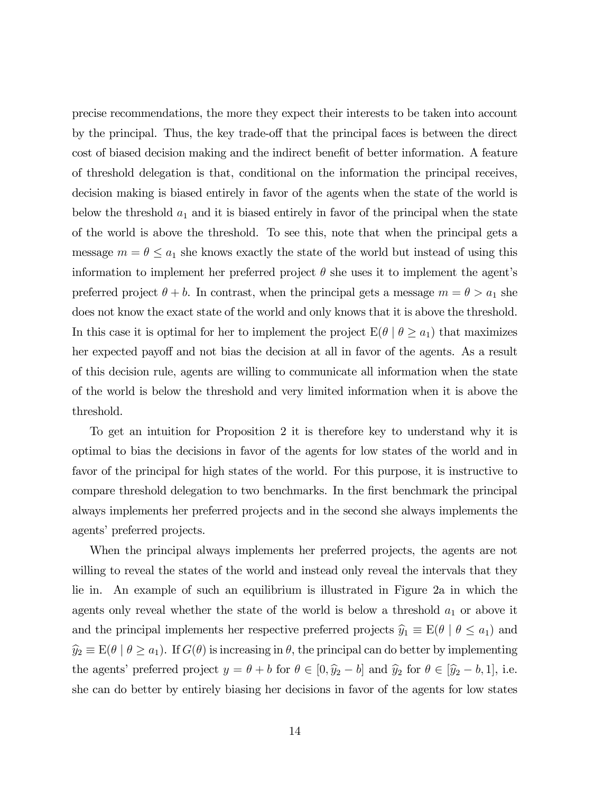precise recommendations, the more they expect their interests to be taken into account by the principal. Thus, the key trade-off that the principal faces is between the direct cost of biased decision making and the indirect benefit of better information. A feature of threshold delegation is that, conditional on the information the principal receives, decision making is biased entirely in favor of the agents when the state of the world is below the threshold  $a_1$  and it is biased entirely in favor of the principal when the state of the world is above the threshold. To see this, note that when the principal gets a message  $m = \theta \le a_1$  she knows exactly the state of the world but instead of using this information to implement her preferred project  $\theta$  she uses it to implement the agent's preferred project  $\theta + b$ . In contrast, when the principal gets a message  $m = \theta > a_1$  she does not know the exact state of the world and only knows that it is above the threshold. In this case it is optimal for her to implement the project  $E(\theta \mid \theta \ge a_1)$  that maximizes her expected payoff and not bias the decision at all in favor of the agents. As a result of this decision rule, agents are willing to communicate all information when the state of the world is below the threshold and very limited information when it is above the threshold.

To get an intuition for Proposition 2 it is therefore key to understand why it is optimal to bias the decisions in favor of the agents for low states of the world and in favor of the principal for high states of the world. For this purpose, it is instructive to compare threshold delegation to two benchmarks. In the first benchmark the principal always implements her preferred projects and in the second she always implements the agents' preferred projects.

When the principal always implements her preferred projects, the agents are not willing to reveal the states of the world and instead only reveal the intervals that they lie in. An example of such an equilibrium is illustrated in Figure 2a in which the agents only reveal whether the state of the world is below a threshold  $a_1$  or above it and the principal implements her respective preferred projects  $\hat{y}_1 \equiv E(\theta \mid \theta \le a_1)$  and  $\hat{y}_2 \equiv E(\theta \mid \theta \ge a_1)$ . If  $G(\theta)$  is increasing in  $\theta$ , the principal can do better by implementing the agents' preferred project  $y = \theta + b$  for  $\theta \in [0, \hat{y}_2 - b]$  and  $\hat{y}_2$  for  $\theta \in [\hat{y}_2 - b, 1]$ , i.e. she can do better by entirely biasing her decisions in favor of the agents for low states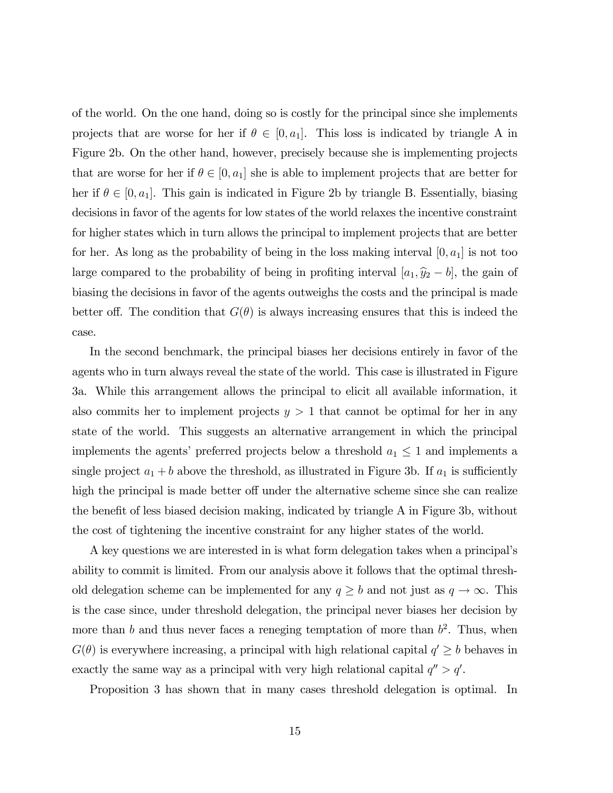of the world. On the one hand, doing so is costly for the principal since she implements projects that are worse for her if  $\theta \in [0, a_1]$ . This loss is indicated by triangle A in Figure 2b. On the other hand, however, precisely because she is implementing projects that are worse for her if  $\theta \in [0, a_1]$  she is able to implement projects that are better for her if  $\theta \in [0, a_1]$ . This gain is indicated in Figure 2b by triangle B. Essentially, biasing decisions in favor of the agents for low states of the world relaxes the incentive constraint for higher states which in turn allows the principal to implement projects that are better for her. As long as the probability of being in the loss making interval  $[0, a_1]$  is not too large compared to the probability of being in profiting interval  $[a_1, \hat{y}_2 - b]$ , the gain of biasing the decisions in favor of the agents outweighs the costs and the principal is made better off. The condition that  $G(\theta)$  is always increasing ensures that this is indeed the case.

In the second benchmark, the principal biases her decisions entirely in favor of the agents who in turn always reveal the state of the world. This case is illustrated in Figure 3a. While this arrangement allows the principal to elicit all available information, it also commits her to implement projects  $y > 1$  that cannot be optimal for her in any state of the world. This suggests an alternative arrangement in which the principal implements the agents' preferred projects below a threshold  $a_1\leq 1$  and implements a single project  $a_1 + b$  above the threshold, as illustrated in Figure 3b. If  $a_1$  is sufficiently high the principal is made better off under the alternative scheme since she can realize the benefit of less biased decision making, indicated by triangle A in Figure 3b, without the cost of tightening the incentive constraint for any higher states of the world.

A key questions we are interested in is what form delegation takes when a principal's ability to commit is limited. From our analysis above it follows that the optimal threshold delegation scheme can be implemented for any  $q \ge b$  and not just as  $q \to \infty$ . This is the case since, under threshold delegation, the principal never biases her decision by more than b and thus never faces a reneging temptation of more than  $b^2$ . Thus, when  $G(\theta)$  is everywhere increasing, a principal with high relational capital  $q' \geq b$  behaves in exactly the same way as a principal with very high relational capital  $q'' > q'$ .

Proposition 3 has shown that in many cases threshold delegation is optimal. In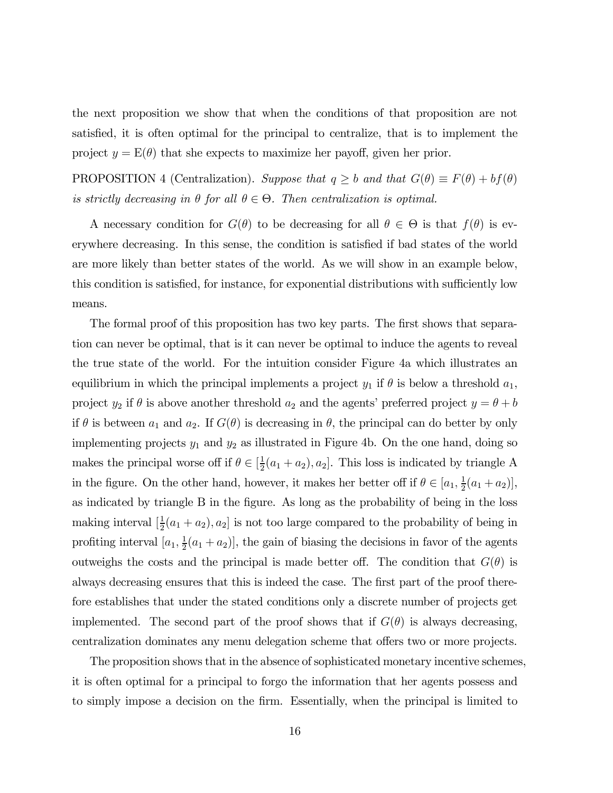the next proposition we show that when the conditions of that proposition are not satisfied, it is often optimal for the principal to centralize, that is to implement the project  $y = E(\theta)$  that she expects to maximize her payoff, given her prior.

PROPOSITION 4 (Centralization). Suppose that  $q \geq b$  and that  $G(\theta) \equiv F(\theta) + bf(\theta)$ is strictly decreasing in  $\theta$  for all  $\theta \in \Theta$ . Then centralization is optimal.

A necessary condition for  $G(\theta)$  to be decreasing for all  $\theta \in \Theta$  is that  $f(\theta)$  is everywhere decreasing. In this sense, the condition is satisfied if bad states of the world are more likely than better states of the world. As we will show in an example below, this condition is satisfied, for instance, for exponential distributions with sufficiently low means.

The formal proof of this proposition has two key parts. The first shows that separation can never be optimal, that is it can never be optimal to induce the agents to reveal the true state of the world. For the intuition consider Figure 4a which illustrates an equilibrium in which the principal implements a project  $y_1$  if  $\theta$  is below a threshold  $a_1$ , project  $y_2$  if  $\theta$  is above another threshold  $a_2$  and the agents' preferred project  $y = \theta + b$ if  $\theta$  is between  $a_1$  and  $a_2$ . If  $G(\theta)$  is decreasing in  $\theta$ , the principal can do better by only implementing projects  $y_1$  and  $y_2$  as illustrated in Figure 4b. On the one hand, doing so makes the principal worse off if  $\theta \in [\frac{1}{2}(a_1 + a_2), a_2]$ . This loss is indicated by triangle A in the figure. On the other hand, however, it makes her better off if  $\theta \in [a_1, \frac{1}{2}(a_1 + a_2)],$ as indicated by triangle B in the figure. As long as the probability of being in the loss making interval  $\left[\frac{1}{2}(a_1 + a_2), a_2\right]$  is not too large compared to the probability of being in profiting interval  $[a_1, \frac{1}{2}(a_1 + a_2)]$ , the gain of biasing the decisions in favor of the agents outweighs the costs and the principal is made better off. The condition that  $G(\theta)$  is always decreasing ensures that this is indeed the case. The first part of the proof therefore establishes that under the stated conditions only a discrete number of projects get implemented. The second part of the proof shows that if  $G(\theta)$  is always decreasing, centralization dominates any menu delegation scheme that offers two or more projects.

The proposition shows that in the absence of sophisticated monetary incentive schemes, it is often optimal for a principal to forgo the information that her agents possess and to simply impose a decision on the firm. Essentially, when the principal is limited to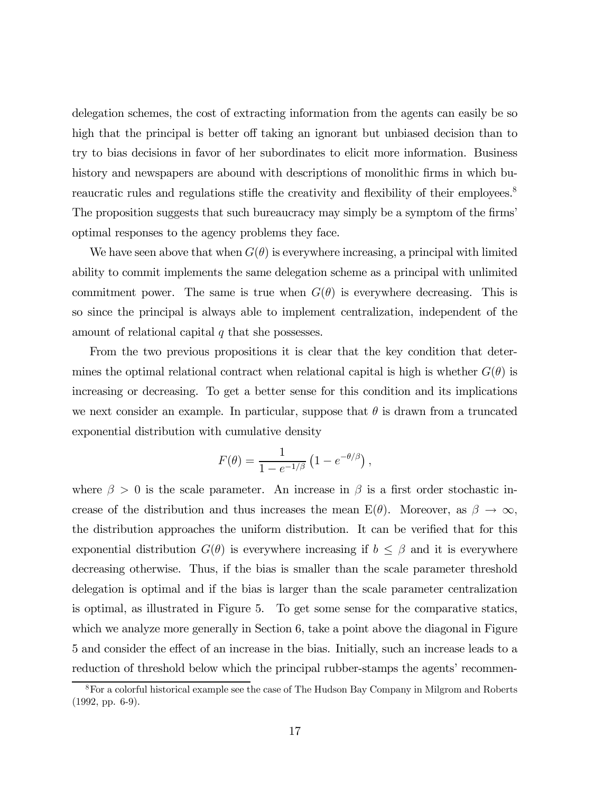delegation schemes, the cost of extracting information from the agents can easily be so high that the principal is better off taking an ignorant but unbiased decision than to try to bias decisions in favor of her subordinates to elicit more information. Business history and newspapers are abound with descriptions of monolithic firms in which bureaucratic rules and regulations stifle the creativity and flexibility of their employees.<sup>8</sup> The proposition suggests that such bureaucracy may simply be a symptom of the firms' optimal responses to the agency problems they face.

We have seen above that when  $G(\theta)$  is everywhere increasing, a principal with limited ability to commit implements the same delegation scheme as a principal with unlimited commitment power. The same is true when  $G(\theta)$  is everywhere decreasing. This is so since the principal is always able to implement centralization, independent of the amount of relational capital  $q$  that she possesses.

From the two previous propositions it is clear that the key condition that determines the optimal relational contract when relational capital is high is whether  $G(\theta)$  is increasing or decreasing. To get a better sense for this condition and its implications we next consider an example. In particular, suppose that  $\theta$  is drawn from a truncated exponential distribution with cumulative density

$$
F(\theta) = \frac{1}{1 - e^{-1/\beta}} \left( 1 - e^{-\theta/\beta} \right),
$$

where  $\beta > 0$  is the scale parameter. An increase in  $\beta$  is a first order stochastic increase of the distribution and thus increases the mean  $E(\theta)$ . Moreover, as  $\beta \to \infty$ , the distribution approaches the uniform distribution. It can be verified that for this exponential distribution  $G(\theta)$  is everywhere increasing if  $b \leq \beta$  and it is everywhere decreasing otherwise. Thus, if the bias is smaller than the scale parameter threshold delegation is optimal and if the bias is larger than the scale parameter centralization is optimal, as illustrated in Figure 5. To get some sense for the comparative statics, which we analyze more generally in Section 6, take a point above the diagonal in Figure 5 and consider the effect of an increase in the bias. Initially, such an increase leads to a reduction of threshold below which the principal rubber-stamps the agents' recommen-

<sup>&</sup>lt;sup>8</sup>For a colorful historical example see the case of The Hudson Bay Company in Milgrom and Roberts  $(1992, pp. 6-9).$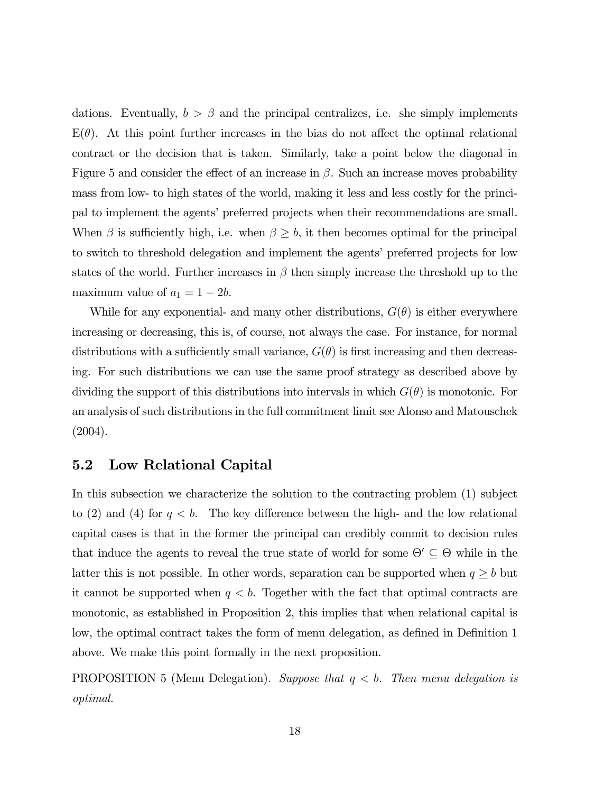dations. Eventually,  $b > \beta$  and the principal centralizes, i.e. she simply implements  $E(\theta)$ . At this point further increases in the bias do not affect the optimal relational contract or the decision that is taken. Similarly, take a point below the diagonal in Figure 5 and consider the effect of an increase in  $\beta$ . Such an increase moves probability mass from low- to high states of the world, making it less and less costly for the principal to implement the agents' preferred projects when their recommendations are small. When  $\beta$  is sufficiently high, i.e. when  $\beta \geq b$ , it then becomes optimal for the principal to switch to threshold delegation and implement the agents' preferred projects for low states of the world. Further increases in  $\beta$  then simply increase the threshold up to the maximum value of  $a_1 = 1 - 2b$ .

While for any exponential- and many other distributions,  $G(\theta)$  is either everywhere increasing or decreasing, this is, of course, not always the case. For instance, for normal distributions with a sufficiently small variance,  $G(\theta)$  is first increasing and then decreasing. For such distributions we can use the same proof strategy as described above by dividing the support of this distributions into intervals in which  $G(\theta)$  is monotonic. For an analysis of such distributions in the full commitment limit see Alonso and Matouschek (2004).

### 5.2 Low Relational Capital

In this subsection we characterize the solution to the contracting problem (1) subject to (2) and (4) for  $q < b$ . The key difference between the high- and the low relational capital cases is that in the former the principal can credibly commit to decision rules that induce the agents to reveal the true state of world for some  $\Theta' \subseteq \Theta$  while in the latter this is not possible. In other words, separation can be supported when  $q \ge b$  but it cannot be supported when  $q < b$ . Together with the fact that optimal contracts are monotonic, as established in Proposition 2, this implies that when relational capital is low, the optimal contract takes the form of menu delegation, as defined in Definition 1 above. We make this point formally in the next proposition.

**PROPOSITION** 5 (Menu Delegation). Suppose that  $q < b$ . Then menu delegation is optimal.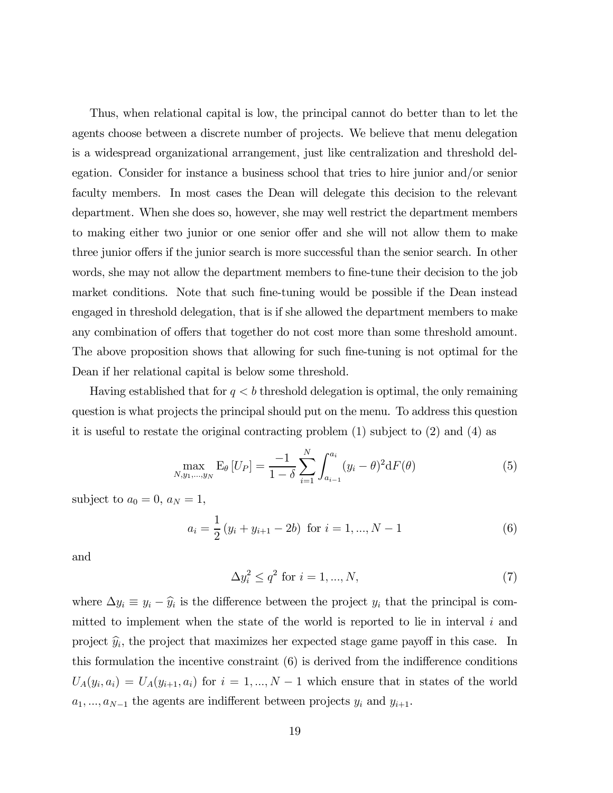Thus, when relational capital is low, the principal cannot do better than to let the agents choose between a discrete number of projects. We believe that menu delegation is a widespread organizational arrangement, just like centralization and threshold delegation. Consider for instance a business school that tries to hire junior and/or senior faculty members. In most cases the Dean will delegate this decision to the relevant department. When she does so, however, she may well restrict the department members to making either two junior or one senior offer and she will not allow them to make three junior offers if the junior search is more successful than the senior search. In other words, she may not allow the department members to fine-tune their decision to the job market conditions. Note that such fine-tuning would be possible if the Dean instead engaged in threshold delegation, that is if she allowed the department members to make any combination of offers that together do not cost more than some threshold amount. The above proposition shows that allowing for such fine-tuning is not optimal for the Dean if her relational capital is below some threshold.

Having established that for  $q < b$  threshold delegation is optimal, the only remaining question is what projects the principal should put on the menu. To address this question it is useful to restate the original contracting problem (1) subject to (2) and (4) as

$$
\max_{N,y_1,...,y_N} \mathcal{E}_{\theta}[U_P] = \frac{-1}{1-\delta} \sum_{i=1}^N \int_{a_{i-1}}^{a_i} (y_i - \theta)^2 dF(\theta) \tag{5}
$$

subject to  $a_0 = 0$ ,  $a_N = 1$ ,

$$
a_i = \frac{1}{2} (y_i + y_{i+1} - 2b) \text{ for } i = 1, ..., N - 1
$$
 (6)

and

$$
\Delta y_i^2 \le q^2 \text{ for } i = 1, \dots, N,
$$
\n
$$
(7)
$$

where  $\Delta y_i \equiv y_i - \hat{y}_i$  is the difference between the project  $y_i$  that the principal is committed to implement when the state of the world is reported to lie in interval  $i$  and project  $\hat{y}_i$ , the project that maximizes her expected stage game payoff in this case. In this formulation the incentive constraint (6) is derived from the indifference conditions  $U_A(y_i, a_i) = U_A(y_{i+1}, a_i)$  for  $i = 1, ..., N-1$  which ensure that in states of the world  $a_1, \ldots, a_{N-1}$  the agents are indifferent between projects  $y_i$  and  $y_{i+1}$ .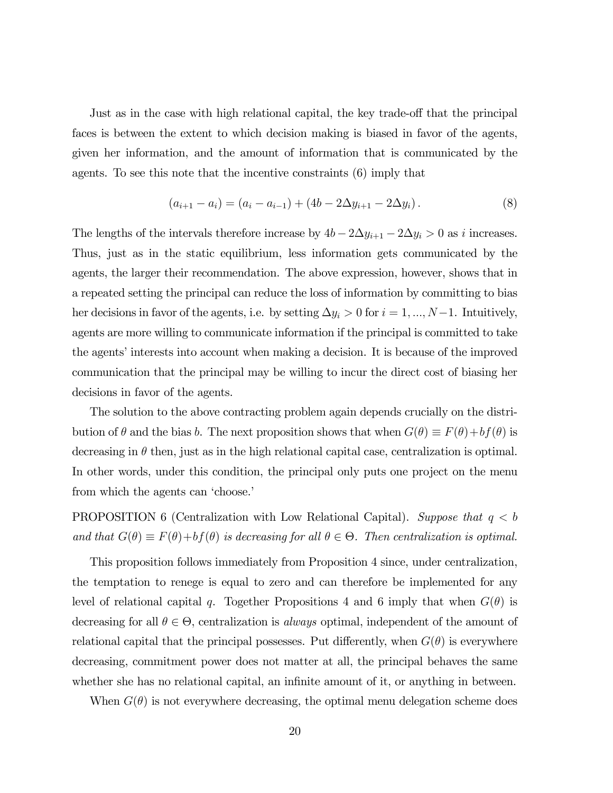Just as in the case with high relational capital, the key trade-off that the principal faces is between the extent to which decision making is biased in favor of the agents, given her information, and the amount of information that is communicated by the agents. To see this note that the incentive constraints (6) imply that

$$
(a_{i+1} - a_i) = (a_i - a_{i-1}) + (4b - 2\Delta y_{i+1} - 2\Delta y_i).
$$
 (8)

The lengths of the intervals therefore increase by  $4b - 2\Delta y_{i+1} - 2\Delta y_i > 0$  as i increases. Thus, just as in the static equilibrium, less information gets communicated by the agents, the larger their recommendation. The above expression, however, shows that in a repeated setting the principal can reduce the loss of information by committing to bias her decisions in favor of the agents, i.e. by setting  $\Delta y_i > 0$  for  $i = 1, ..., N-1$ . Intuitively, agents are more willing to communicate information if the principal is committed to take the agents' interests into account when making a decision. It is because of the improved communication that the principal may be willing to incur the direct cost of biasing her decisions in favor of the agents.

The solution to the above contracting problem again depends crucially on the distribution of  $\theta$  and the bias b. The next proposition shows that when  $G(\theta) \equiv F(\theta) + bf(\theta)$  is decreasing in  $\theta$  then, just as in the high relational capital case, centralization is optimal. In other words, under this condition, the principal only puts one project on the menu from which the agents can 'choose.'

PROPOSITION 6 (Centralization with Low Relational Capital). Suppose that  $q < b$ and that  $G(\theta) \equiv F(\theta) + bf(\theta)$  is decreasing for all  $\theta \in \Theta$ . Then centralization is optimal.

This proposition follows immediately from Proposition 4 since, under centralization, the temptation to renege is equal to zero and can therefore be implemented for any level of relational capital q. Together Propositions 4 and 6 imply that when  $G(\theta)$  is decreasing for all  $\theta \in \Theta$ , centralization is *always* optimal, independent of the amount of relational capital that the principal possesses. Put differently, when  $G(\theta)$  is everywhere decreasing, commitment power does not matter at all, the principal behaves the same whether she has no relational capital, an infinite amount of it, or anything in between.

When  $G(\theta)$  is not everywhere decreasing, the optimal menu delegation scheme does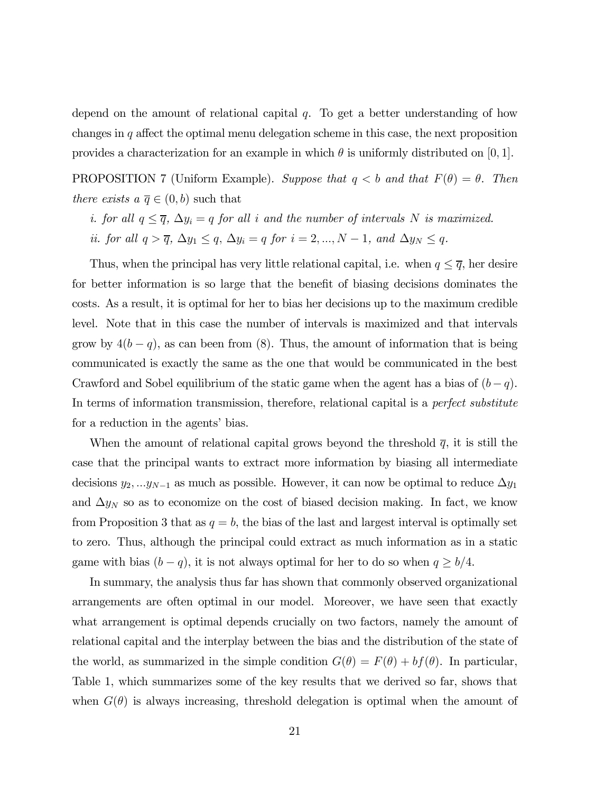depend on the amount of relational capital  $q$ . To get a better understanding of how changes in  $q$  affect the optimal menu delegation scheme in this case, the next proposition provides a characterization for an example in which  $\theta$  is uniformly distributed on [0, 1].

PROPOSITION 7 (Uniform Example). Suppose that  $q < b$  and that  $F(\theta) = \theta$ . Then there exists  $a \overline{q} \in (0, b)$  such that

- i. for all  $q \leq \overline{q}$ ,  $\Delta y_i = q$  for all i and the number of intervals N is maximized.
- ii. for all  $q > \overline{q}$ ,  $\Delta y_1 \leq q$ ,  $\Delta y_i = q$  for  $i = 2, ..., N 1$ , and  $\Delta y_N \leq q$ .

Thus, when the principal has very little relational capital, i.e. when  $q \leq \overline{q}$ , her desire for better information is so large that the benefit of biasing decisions dominates the costs. As a result, it is optimal for her to bias her decisions up to the maximum credible level. Note that in this case the number of intervals is maximized and that intervals grow by  $4(b - q)$ , as can been from (8). Thus, the amount of information that is being communicated is exactly the same as the one that would be communicated in the best Crawford and Sobel equilibrium of the static game when the agent has a bias of  $(b - q)$ . In terms of information transmission, therefore, relational capital is a *perfect substitute* for a reduction in the agents' bias.

When the amount of relational capital grows beyond the threshold  $\overline{q}$ , it is still the case that the principal wants to extract more information by biasing all intermediate decisions  $y_2, ... y_{N-1}$  as much as possible. However, it can now be optimal to reduce  $\Delta y_1$ and  $\Delta y_N$  so as to economize on the cost of biased decision making. In fact, we know from Proposition 3 that as  $q = b$ , the bias of the last and largest interval is optimally set to zero. Thus, although the principal could extract as much information as in a static game with bias  $(b - q)$ , it is not always optimal for her to do so when  $q \ge b/4$ .

In summary, the analysis thus far has shown that commonly observed organizational arrangements are often optimal in our model. Moreover, we have seen that exactly what arrangement is optimal depends crucially on two factors, namely the amount of relational capital and the interplay between the bias and the distribution of the state of the world, as summarized in the simple condition  $G(\theta) = F(\theta) + bf(\theta)$ . In particular, Table 1, which summarizes some of the key results that we derived so far, shows that when  $G(\theta)$  is always increasing, threshold delegation is optimal when the amount of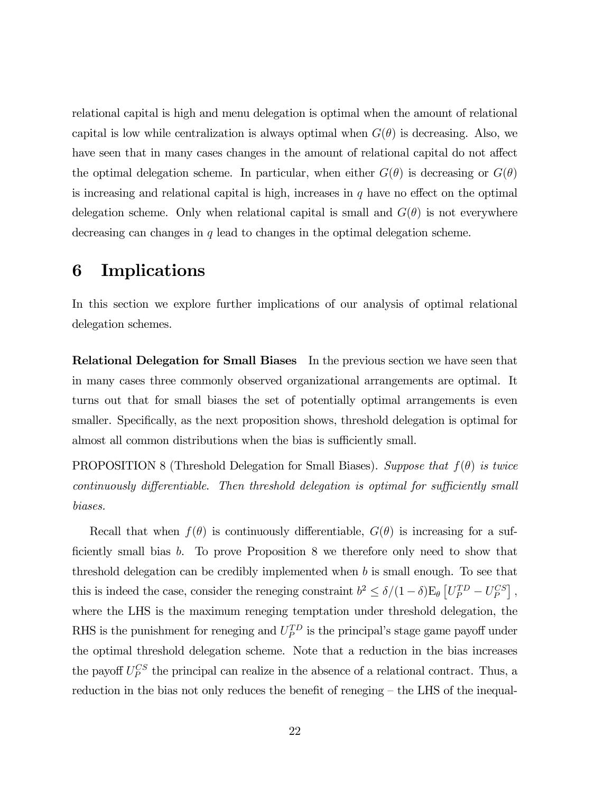relational capital is high and menu delegation is optimal when the amount of relational capital is low while centralization is always optimal when  $G(\theta)$  is decreasing. Also, we have seen that in many cases changes in the amount of relational capital do not affect the optimal delegation scheme. In particular, when either  $G(\theta)$  is decreasing or  $G(\theta)$ is increasing and relational capital is high, increases in  $q$  have no effect on the optimal delegation scheme. Only when relational capital is small and  $G(\theta)$  is not everywhere decreasing can changes in  $q$  lead to changes in the optimal delegation scheme.

# 6 Implications

In this section we explore further implications of our analysis of optimal relational delegation schemes.

Relational Delegation for Small Biases In the previous section we have seen that in many cases three commonly observed organizational arrangements are optimal. It turns out that for small biases the set of potentially optimal arrangements is even smaller. Specifically, as the next proposition shows, threshold delegation is optimal for almost all common distributions when the bias is sufficiently small.

PROPOSITION 8 (Threshold Delegation for Small Biases). Suppose that  $f(\theta)$  is twice continuously differentiable. Then threshold delegation is optimal for sufficiently small biases.

Recall that when  $f(\theta)$  is continuously differentiable,  $G(\theta)$  is increasing for a sufficiently small bias b. To prove Proposition 8 we therefore only need to show that threshold delegation can be credibly implemented when  $b$  is small enough. To see that this is indeed the case, consider the reneging constraint  $b^2 \le \delta/(1-\delta)E_\theta \left[ U_P^{TD} - U_P^{CS} \right]$ , where the LHS is the maximum reneging temptation under threshold delegation, the RHS is the punishment for reneging and  $U_P^{TD}$  is the principal's stage game payoff under the optimal threshold delegation scheme. Note that a reduction in the bias increases the payoff  $U_P^{CS}$  the principal can realize in the absence of a relational contract. Thus, a reduction in the bias not only reduces the benefit of reneging — the LHS of the inequal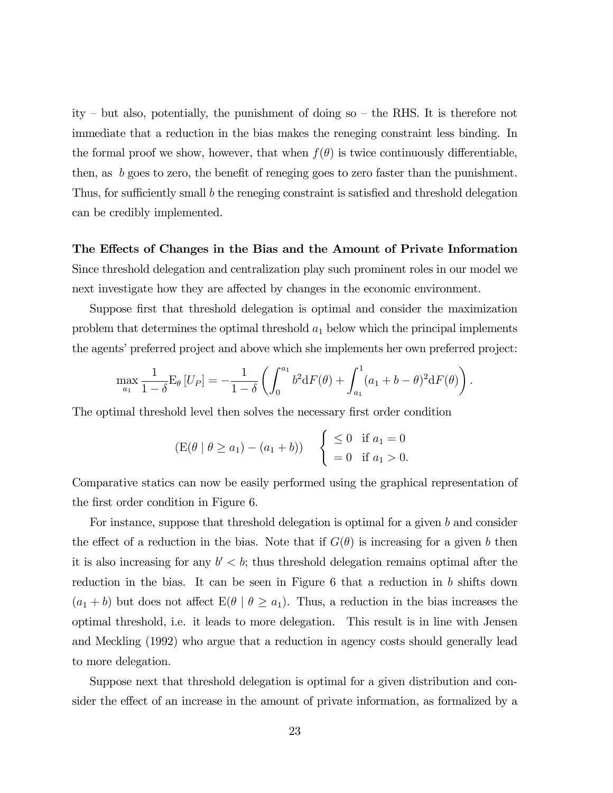ity — but also, potentially, the punishment of doing so — the RHS. It is therefore not immediate that a reduction in the bias makes the reneging constraint less binding. In the formal proof we show, however, that when  $f(\theta)$  is twice continuously differentiable, then, as b goes to zero, the benefit of reneging goes to zero faster than the punishment. Thus, for sufficiently small b the reneging constraint is satisfied and threshold delegation can be credibly implemented.

The Effects of Changes in the Bias and the Amount of Private Information Since threshold delegation and centralization play such prominent roles in our model we next investigate how they are affected by changes in the economic environment.

Suppose first that threshold delegation is optimal and consider the maximization problem that determines the optimal threshold  $a_1$  below which the principal implements the agents' preferred project and above which she implements her own preferred project:

$$
\max_{a_1} \frac{1}{1-\delta} \mathcal{E}_{\theta} \left[ U_P \right] = -\frac{1}{1-\delta} \left( \int_0^{a_1} b^2 dF(\theta) + \int_{a_1}^1 (a_1 + b - \theta)^2 dF(\theta) \right)
$$

.

The optimal threshold level then solves the necessary first order condition

$$
(E(\theta | \theta \ge a_1) - (a_1 + b))
$$
  $\begin{cases} \le 0 & \text{if } a_1 = 0 \\ = 0 & \text{if } a_1 > 0. \end{cases}$ 

Comparative statics can now be easily performed using the graphical representation of the first order condition in Figure 6.

For instance, suppose that threshold delegation is optimal for a given b and consider the effect of a reduction in the bias. Note that if  $G(\theta)$  is increasing for a given b then it is also increasing for any  $b' < b$ ; thus threshold delegation remains optimal after the reduction in the bias. It can be seen in Figure 6 that a reduction in b shifts down  $(a_1 + b)$  but does not affect  $E(\theta \mid \theta \ge a_1)$ . Thus, a reduction in the bias increases the optimal threshold, i.e. it leads to more delegation. This result is in line with Jensen and Meckling (1992) who argue that a reduction in agency costs should generally lead to more delegation.

Suppose next that threshold delegation is optimal for a given distribution and consider the effect of an increase in the amount of private information, as formalized by a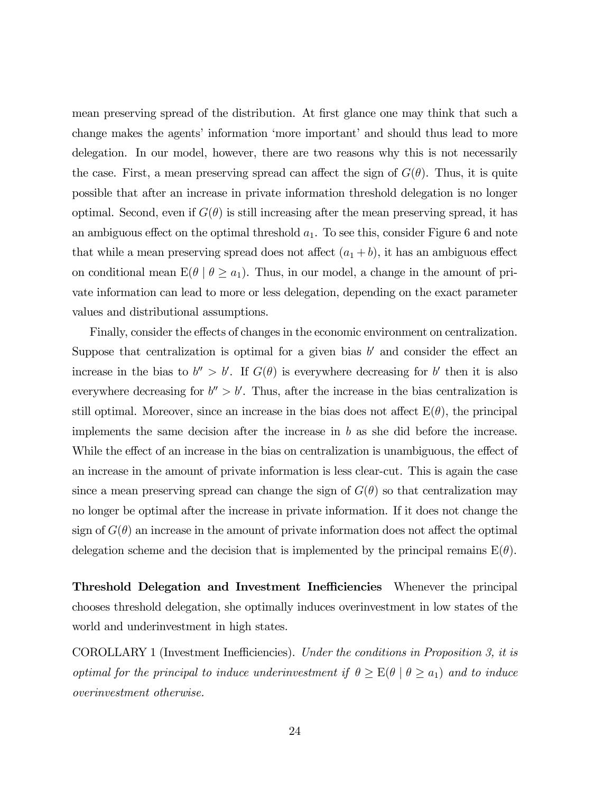mean preserving spread of the distribution. At first glance one may think that such a change makes the agents' information 'more important' and should thus lead to more delegation. In our model, however, there are two reasons why this is not necessarily the case. First, a mean preserving spread can affect the sign of  $G(\theta)$ . Thus, it is quite possible that after an increase in private information threshold delegation is no longer optimal. Second, even if  $G(\theta)$  is still increasing after the mean preserving spread, it has an ambiguous effect on the optimal threshold  $a_1$ . To see this, consider Figure 6 and note that while a mean preserving spread does not affect  $(a_1 + b)$ , it has an ambiguous effect on conditional mean  $E(\theta \mid \theta \ge a_1)$ . Thus, in our model, a change in the amount of private information can lead to more or less delegation, depending on the exact parameter values and distributional assumptions.

Finally, consider the effects of changes in the economic environment on centralization. Suppose that centralization is optimal for a given bias  $b'$  and consider the effect an increase in the bias to  $b'' > b'$ . If  $G(\theta)$  is everywhere decreasing for b' then it is also everywhere decreasing for  $b'' > b'$ . Thus, after the increase in the bias centralization is still optimal. Moreover, since an increase in the bias does not affect  $E(\theta)$ , the principal implements the same decision after the increase in b as she did before the increase. While the effect of an increase in the bias on centralization is unambiguous, the effect of an increase in the amount of private information is less clear-cut. This is again the case since a mean preserving spread can change the sign of  $G(\theta)$  so that centralization may no longer be optimal after the increase in private information. If it does not change the sign of  $G(\theta)$  an increase in the amount of private information does not affect the optimal delegation scheme and the decision that is implemented by the principal remains  $E(\theta)$ .

Threshold Delegation and Investment Inefficiencies Whenever the principal chooses threshold delegation, she optimally induces overinvestment in low states of the world and underinvestment in high states.

COROLLARY 1 (Investment Inefficiencies). Under the conditions in Proposition 3, it is optimal for the principal to induce underinvestment if  $\theta \geq E(\theta \mid \theta \geq a_1)$  and to induce overinvestment otherwise.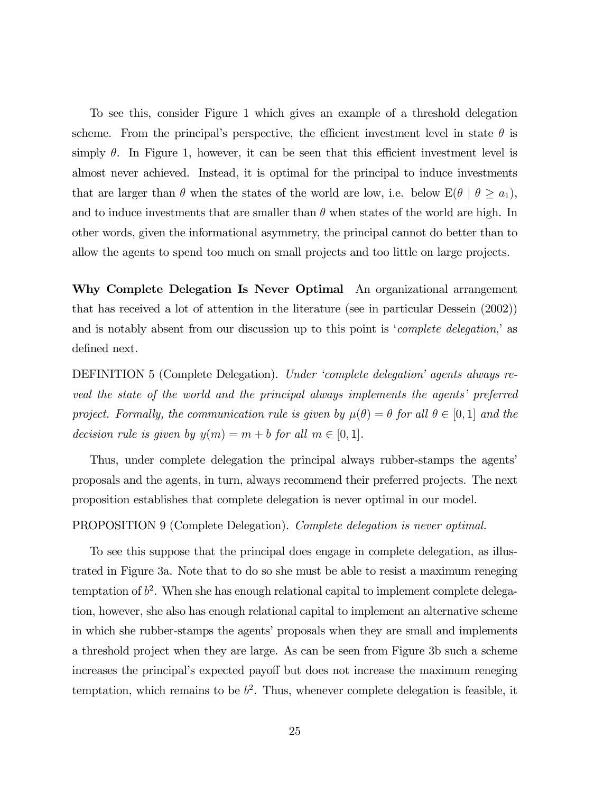To see this, consider Figure 1 which gives an example of a threshold delegation scheme. From the principal's perspective, the efficient investment level in state  $\theta$  is simply  $\theta$ . In Figure 1, however, it can be seen that this efficient investment level is almost never achieved. Instead, it is optimal for the principal to induce investments that are larger than  $\theta$  when the states of the world are low, i.e. below  $E(\theta \mid \theta \ge a_1)$ , and to induce investments that are smaller than  $\theta$  when states of the world are high. In other words, given the informational asymmetry, the principal cannot do better than to allow the agents to spend too much on small projects and too little on large projects.

Why Complete Delegation Is Never Optimal An organizational arrangement that has received a lot of attention in the literature (see in particular Dessein (2002)) and is notably absent from our discussion up to this point is '*complete delegation*,' as defined next.

DEFINITION 5 (Complete Delegation). Under 'complete delegation' agents always reveal the state of the world and the principal always implements the agents' preferred project. Formally, the communication rule is given by  $\mu(\theta) = \theta$  for all  $\theta \in [0,1]$  and the decision rule is given by  $y(m) = m + b$  for all  $m \in [0, 1]$ .

Thus, under complete delegation the principal always rubber-stamps the agents' proposals and the agents, in turn, always recommend their preferred projects. The next proposition establishes that complete delegation is never optimal in our model.

#### PROPOSITION 9 (Complete Delegation). Complete delegation is never optimal.

To see this suppose that the principal does engage in complete delegation, as illustrated in Figure 3a. Note that to do so she must be able to resist a maximum reneging temptation of  $b^2$ . When she has enough relational capital to implement complete delegation, however, she also has enough relational capital to implement an alternative scheme in which she rubber-stamps the agents' proposals when they are small and implements a threshold project when they are large. As can be seen from Figure 3b such a scheme increases the principal's expected payoff but does not increase the maximum reneging temptation, which remains to be  $b^2$ . Thus, whenever complete delegation is feasible, it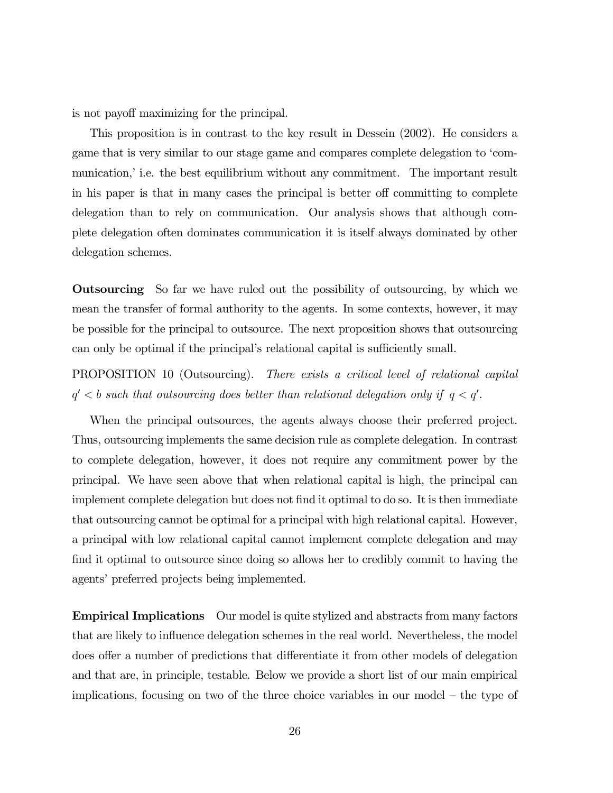is not payoff maximizing for the principal.

This proposition is in contrast to the key result in Dessein (2002). He considers a game that is very similar to our stage game and compares complete delegation to 'communication,' i.e. the best equilibrium without any commitment. The important result in his paper is that in many cases the principal is better off committing to complete delegation than to rely on communication. Our analysis shows that although complete delegation often dominates communication it is itself always dominated by other delegation schemes.

Outsourcing So far we have ruled out the possibility of outsourcing, by which we mean the transfer of formal authority to the agents. In some contexts, however, it may be possible for the principal to outsource. The next proposition shows that outsourcing can only be optimal if the principal's relational capital is sufficiently small.

PROPOSITION 10 (Outsourcing). There exists a critical level of relational capital  $q' < b$  such that outsourcing does better than relational delegation only if  $q < q'$ .

When the principal outsources, the agents always choose their preferred project. Thus, outsourcing implements the same decision rule as complete delegation. In contrast to complete delegation, however, it does not require any commitment power by the principal. We have seen above that when relational capital is high, the principal can implement complete delegation but does not find it optimal to do so. It is then immediate that outsourcing cannot be optimal for a principal with high relational capital. However, a principal with low relational capital cannot implement complete delegation and may find it optimal to outsource since doing so allows her to credibly commit to having the agents' preferred projects being implemented.

Empirical Implications Our model is quite stylized and abstracts from many factors that are likely to influence delegation schemes in the real world. Nevertheless, the model does offer a number of predictions that differentiate it from other models of delegation and that are, in principle, testable. Below we provide a short list of our main empirical implications, focusing on two of the three choice variables in our model — the type of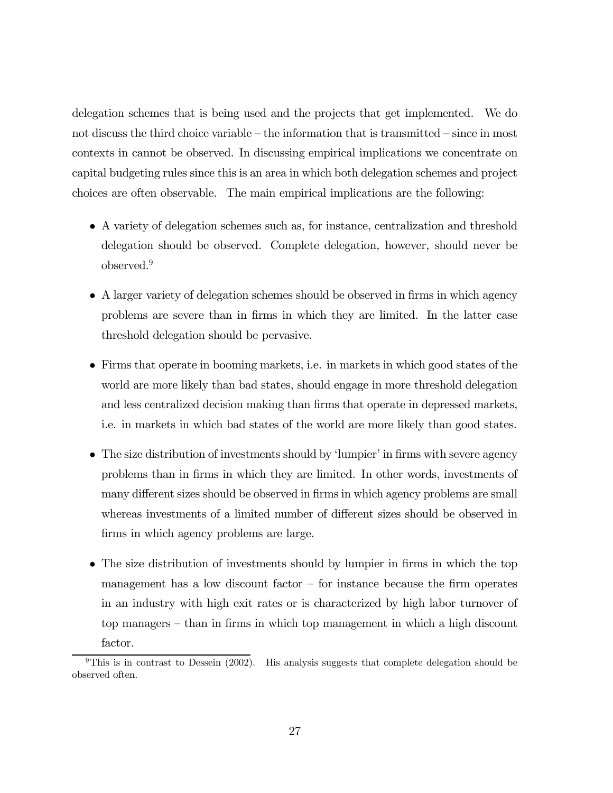delegation schemes that is being used and the projects that get implemented. We do not discuss the third choice variable — the information that is transmitted — since in most contexts in cannot be observed. In discussing empirical implications we concentrate on capital budgeting rules since this is an area in which both delegation schemes and project choices are often observable. The main empirical implications are the following:

- A variety of delegation schemes such as, for instance, centralization and threshold delegation should be observed. Complete delegation, however, should never be observed.9
- A larger variety of delegation schemes should be observed in firms in which agency problems are severe than in firms in which they are limited. In the latter case threshold delegation should be pervasive.
- Firms that operate in booming markets, i.e. in markets in which good states of the world are more likely than bad states, should engage in more threshold delegation and less centralized decision making than firms that operate in depressed markets, i.e. in markets in which bad states of the world are more likely than good states.
- The size distribution of investments should by 'lumpier' in firms with severe agency problems than in firms in which they are limited. In other words, investments of many different sizes should be observed in firms in which agency problems are small whereas investments of a limited number of different sizes should be observed in firms in which agency problems are large.
- The size distribution of investments should by lumpier in firms in which the top management has a low discount factor  $-$  for instance because the firm operates in an industry with high exit rates or is characterized by high labor turnover of top managers — than in firms in which top management in which a high discount factor.

<sup>&</sup>lt;sup>9</sup>This is in contrast to Dessein (2002). His analysis suggests that complete delegation should be observed often.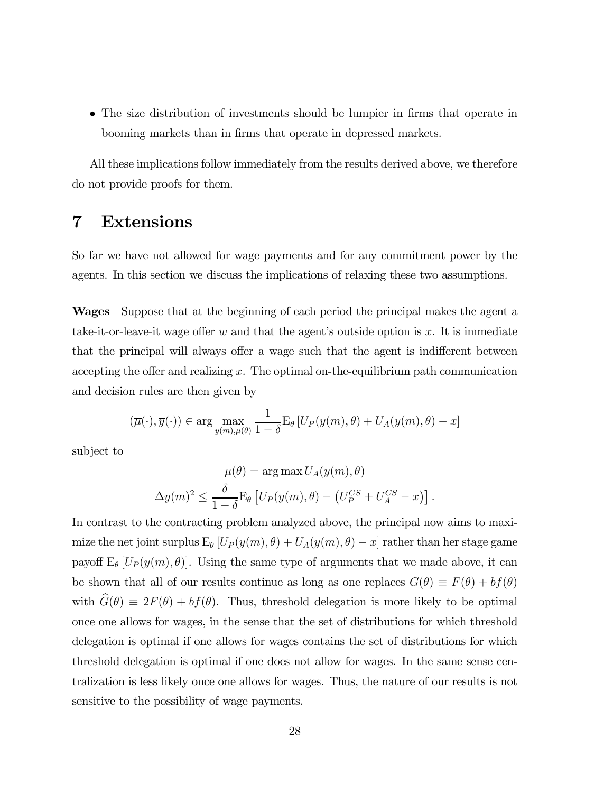• The size distribution of investments should be lumpier in firms that operate in booming markets than in firms that operate in depressed markets.

All these implications follow immediately from the results derived above, we therefore do not provide proofs for them.

# 7 Extensions

So far we have not allowed for wage payments and for any commitment power by the agents. In this section we discuss the implications of relaxing these two assumptions.

Wages Suppose that at the beginning of each period the principal makes the agent a take-it-or-leave-it wage offer w and that the agent's outside option is x. It is immediate that the principal will always offer a wage such that the agent is indifferent between accepting the offer and realizing  $x$ . The optimal on-the-equilibrium path communication and decision rules are then given by

$$
(\overline{\mu}(\cdot), \overline{y}(\cdot)) \in \arg\max_{y(m), \mu(\theta)} \frac{1}{1-\delta} \mathcal{E}_{\theta} \left[ U_P(y(m), \theta) + U_A(y(m), \theta) - x \right]
$$

subject to

$$
\mu(\theta) = \arg \max U_A(y(m), \theta)
$$

$$
\Delta y(m)^2 \le \frac{\delta}{1-\delta} \mathbb{E}_{\theta} \left[ U_P(y(m), \theta) - \left( U_P^{CS} + U_A^{CS} - x \right) \right].
$$

In contrast to the contracting problem analyzed above, the principal now aims to maximize the net joint surplus  $E_{\theta}$   $[U_P(y(m), \theta) + U_A(y(m), \theta) - x]$  rather than her stage game payoff  $E_\theta$  [ $U_P(y(m), \theta)$ ]. Using the same type of arguments that we made above, it can be shown that all of our results continue as long as one replaces  $G(\theta) \equiv F(\theta) + bf(\theta)$ with  $\widehat{G}(\theta) \equiv 2F(\theta) + bf(\theta)$ . Thus, threshold delegation is more likely to be optimal once one allows for wages, in the sense that the set of distributions for which threshold delegation is optimal if one allows for wages contains the set of distributions for which threshold delegation is optimal if one does not allow for wages. In the same sense centralization is less likely once one allows for wages. Thus, the nature of our results is not sensitive to the possibility of wage payments.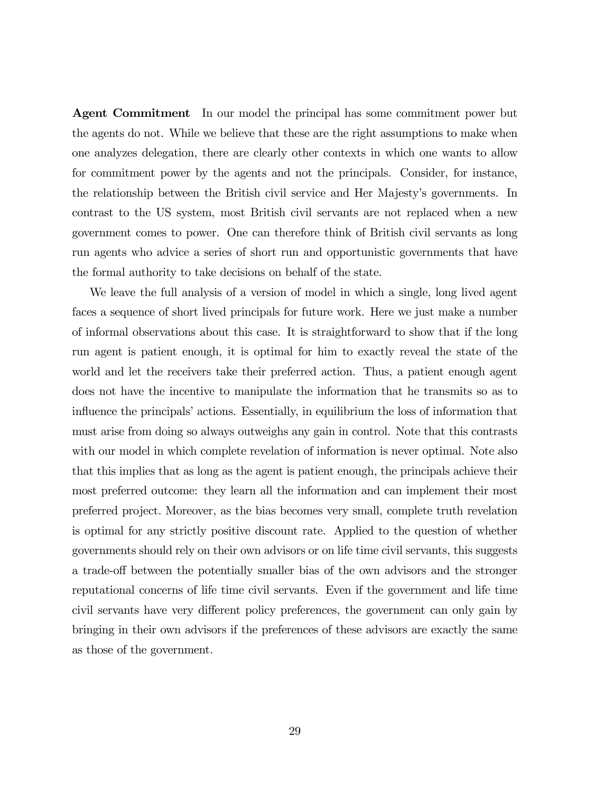Agent Commitment In our model the principal has some commitment power but the agents do not. While we believe that these are the right assumptions to make when one analyzes delegation, there are clearly other contexts in which one wants to allow for commitment power by the agents and not the principals. Consider, for instance, the relationship between the British civil service and Her Majesty's governments. In contrast to the US system, most British civil servants are not replaced when a new government comes to power. One can therefore think of British civil servants as long run agents who advice a series of short run and opportunistic governments that have the formal authority to take decisions on behalf of the state.

We leave the full analysis of a version of model in which a single, long lived agent faces a sequence of short lived principals for future work. Here we just make a number of informal observations about this case. It is straightforward to show that if the long run agent is patient enough, it is optimal for him to exactly reveal the state of the world and let the receivers take their preferred action. Thus, a patient enough agent does not have the incentive to manipulate the information that he transmits so as to influence the principals' actions. Essentially, in equilibrium the loss of information that must arise from doing so always outweighs any gain in control. Note that this contrasts with our model in which complete revelation of information is never optimal. Note also that this implies that as long as the agent is patient enough, the principals achieve their most preferred outcome: they learn all the information and can implement their most preferred project. Moreover, as the bias becomes very small, complete truth revelation is optimal for any strictly positive discount rate. Applied to the question of whether governments should rely on their own advisors or on life time civil servants, this suggests a trade-off between the potentially smaller bias of the own advisors and the stronger reputational concerns of life time civil servants. Even if the government and life time civil servants have very different policy preferences, the government can only gain by bringing in their own advisors if the preferences of these advisors are exactly the same as those of the government.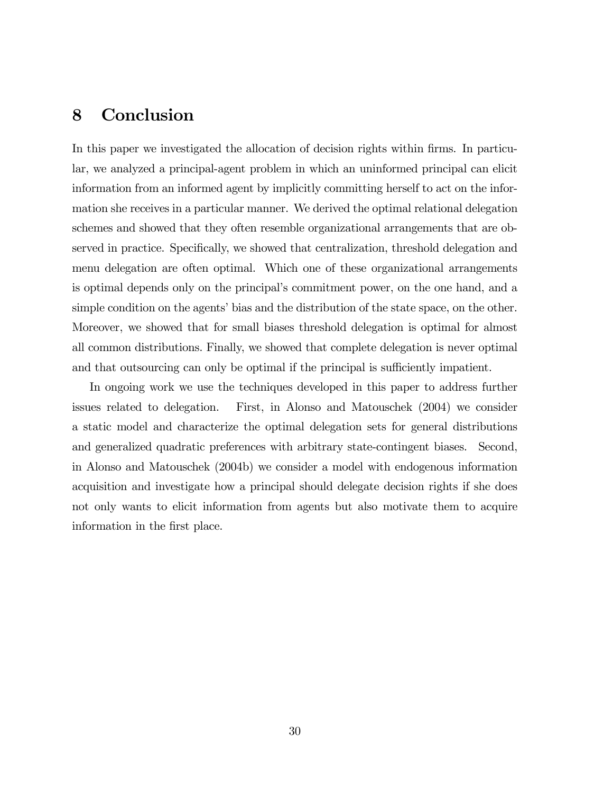# 8 Conclusion

In this paper we investigated the allocation of decision rights within firms. In particular, we analyzed a principal-agent problem in which an uninformed principal can elicit information from an informed agent by implicitly committing herself to act on the information she receives in a particular manner. We derived the optimal relational delegation schemes and showed that they often resemble organizational arrangements that are observed in practice. Specifically, we showed that centralization, threshold delegation and menu delegation are often optimal. Which one of these organizational arrangements is optimal depends only on the principal's commitment power, on the one hand, and a simple condition on the agents' bias and the distribution of the state space, on the other. Moreover, we showed that for small biases threshold delegation is optimal for almost all common distributions. Finally, we showed that complete delegation is never optimal and that outsourcing can only be optimal if the principal is sufficiently impatient.

In ongoing work we use the techniques developed in this paper to address further issues related to delegation. First, in Alonso and Matouschek (2004) we consider a static model and characterize the optimal delegation sets for general distributions and generalized quadratic preferences with arbitrary state-contingent biases. Second, in Alonso and Matouschek (2004b) we consider a model with endogenous information acquisition and investigate how a principal should delegate decision rights if she does not only wants to elicit information from agents but also motivate them to acquire information in the first place.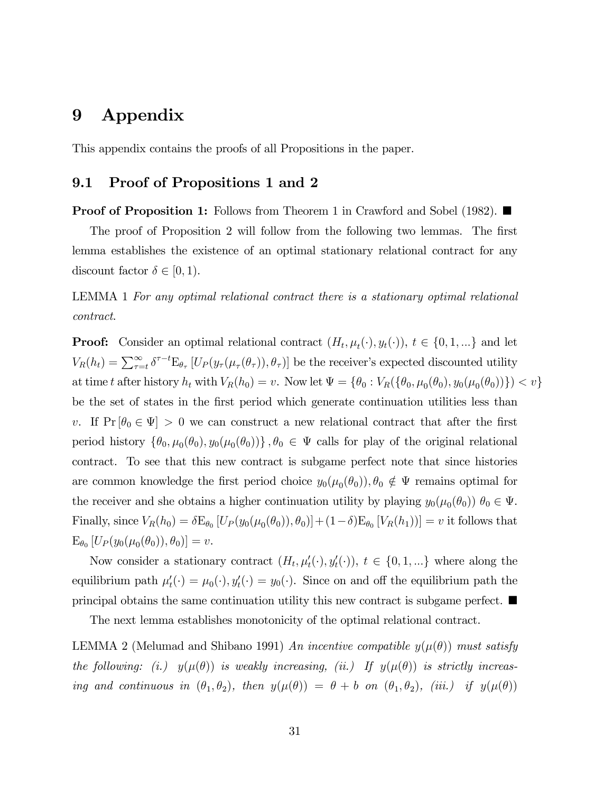# 9 Appendix

This appendix contains the proofs of all Propositions in the paper.

### 9.1 Proof of Propositions 1 and 2

**Proof of Proposition 1:** Follows from Theorem 1 in Crawford and Sobel (1982).  $\blacksquare$ 

The proof of Proposition 2 will follow from the following two lemmas. The first lemma establishes the existence of an optimal stationary relational contract for any discount factor  $\delta \in [0,1)$ .

## LEMMA 1 For any optimal relational contract there is a stationary optimal relational contract.

**Proof:** Consider an optimal relational contract  $(H_t, \mu_t(\cdot), y_t(\cdot)), t \in \{0, 1, ...\}$  and let  $V_R(h_t) = \sum_{\tau=t}^{\infty} \delta^{\tau-t} E_{\theta_{\tau}}[U_P(y_{\tau}(\mu_{\tau}(\theta_{\tau})), \theta_{\tau})]$  be the receiver's expected discounted utility at time t after history  $h_t$  with  $V_R(h_0) = v$ . Now let  $\Psi = \{\theta_0 : V_R(\{\theta_0, \mu_0(\theta_0), y_0(\mu_0(\theta_0))\}) < v\}$ be the set of states in the first period which generate continuation utilities less than v. If  $Pr[\theta_0 \in \Psi] > 0$  we can construct a new relational contract that after the first period history  $\{\theta_0, \mu_0(\theta_0), y_0(\mu_0(\theta_0))\}, \theta_0 \in \Psi$  calls for play of the original relational contract. To see that this new contract is subgame perfect note that since histories are common knowledge the first period choice  $y_0(\mu_0(\theta_0))$ ,  $\theta_0 \notin \Psi$  remains optimal for the receiver and she obtains a higher continuation utility by playing  $y_0(\mu_0(\theta_0))$   $\theta_0 \in \Psi$ . Finally, since  $V_R(h_0) = \delta \mathcal{E}_{\theta_0} [U_P(y_0(\mu_0(\theta_0)), \theta_0)] + (1-\delta) \mathcal{E}_{\theta_0} [V_R(h_1))] = v$  it follows that  $E_{\theta_0} [U_P(y_0(\mu_0(\theta_0)), \theta_0)] = v.$ 

Now consider a stationary contract  $(H_t, \mu'_t(\cdot), y'_t(\cdot)), t \in \{0, 1, ...\}$  where along the equilibrium path  $\mu'_t(\cdot) = \mu_0(\cdot), y'_t(\cdot) = y_0(\cdot)$ . Since on and off the equilibrium path the principal obtains the same continuation utility this new contract is subgame perfect.  $\blacksquare$ 

The next lemma establishes monotonicity of the optimal relational contract.

LEMMA 2 (Melumad and Shibano 1991) An incentive compatible  $y(\mu(\theta))$  must satisfy the following: (i.)  $y(\mu(\theta))$  is weakly increasing, (ii.) If  $y(\mu(\theta))$  is strictly increasing and continuous in  $(\theta_1, \theta_2)$ , then  $y(\mu(\theta)) = \theta + b$  on  $(\theta_1, \theta_2)$ , (iii.) if  $y(\mu(\theta))$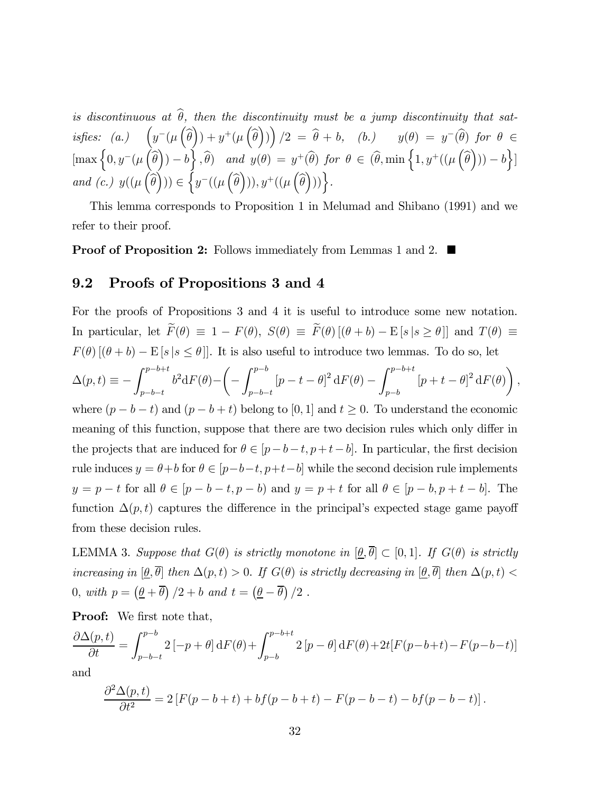is discontinuous at  $\hat{\theta}$ , then the discontinuity must be a jump discontinuity that satisfies: (a.)  $\left(y^-(\mu\left(\widehat{\theta}\right)) + y^+(\mu\left(\widehat{\theta}\right))\right)/2 = \widehat{\theta} + b$ , (b.)  $y(\theta) = y^-(\widehat{\theta})$  for  $\theta \in$  $\left[\max\left\{0, y^{-}(\mu\left(\widehat{\theta}\right)) - b\right\}, \widehat{\theta}\right]$  and  $y(\theta) = y^{+}(\widehat{\theta})$  for  $\theta \in (\widehat{\theta}, \min\left\{1, y^{+}((\mu\left(\widehat{\theta}\right))) - b\right\}\right]$ and (c.)  $y((\mu\left(\widehat{\theta}\right))) \in \left\{y^{-}((\mu\left(\widehat{\theta}\right))), y^{+}((\mu\left(\widehat{\theta}\right)))\right\}.$ 

This lemma corresponds to Proposition 1 in Melumad and Shibano (1991) and we refer to their proof.

**Proof of Proposition 2:** Follows immediately from Lemmas 1 and 2.  $\blacksquare$ 

### 9.2 Proofs of Propositions 3 and 4

For the proofs of Propositions 3 and 4 it is useful to introduce some new notation. In particular, let  $\widetilde{F}(\theta) \equiv 1 - F(\theta)$ ,  $S(\theta) \equiv \widetilde{F}(\theta) [(\theta + b) - E[s|s \ge \theta]]$  and  $T(\theta) \equiv$  $F(\theta)$   $[(\theta + b) - \mathbb{E}[s | s \leq \theta]]$ . It is also useful to introduce two lemmas. To do so, let  $\Delta(p,t) \equiv -\int_{1}^{p-b+t}$  $p-b-t$  $b^2dF(\theta)$ – µ −  $\int p-b$  $p-b-t$  $[p - t - \theta]^2 dF(\theta) - \int_1^{p-b+t}$  $_{p-b}$  $[p + t - \theta]^2 dF(\theta)$ , where  $(p - b - t)$  and  $(p - b + t)$  belong to [0, 1] and  $t \ge 0$ . To understand the economic meaning of this function, suppose that there are two decision rules which only differ in the projects that are induced for  $\theta \in [p-b-t, p+t-b]$ . In particular, the first decision rule induces  $y = \theta + b$  for  $\theta \in [p - b - t, p + t - b]$  while the second decision rule implements  $y = p - t$  for all  $\theta \in [p - b - t, p - b)$  and  $y = p + t$  for all  $\theta \in [p - b, p + t - b]$ . The function  $\Delta(p, t)$  captures the difference in the principal's expected stage game payoff from these decision rules.

LEMMA 3. Suppose that  $G(\theta)$  is strictly monotone in  $[\theta, \overline{\theta}] \subset [0, 1]$ . If  $G(\theta)$  is strictly increasing in  $[\underline{\theta}, \overline{\theta}]$  then  $\Delta(p, t) > 0$ . If  $G(\theta)$  is strictly decreasing in  $[\underline{\theta}, \overline{\theta}]$  then  $\Delta(p, t)$ 0, with  $p = \left(\underline{\theta} + \overline{\theta}\right)/2 + b$  and  $t = \left(\underline{\theta} - \overline{\theta}\right)/2$ .

Proof: We first note that,

$$
\frac{\partial \Delta(p,t)}{\partial t} = \int_{p-b-t}^{p-b} 2\left[ -p+\theta \right] dF(\theta) + \int_{p-b}^{p-b+t} 2\left[ p-\theta \right] dF(\theta) + 2t \left[ F(p-b+t) - F(p-b-t) \right]
$$

and

$$
\frac{\partial^2 \Delta(p, t)}{\partial t^2} = 2 \left[ F(p - b + t) + bf(p - b + t) - F(p - b - t) - bf(p - b - t) \right].
$$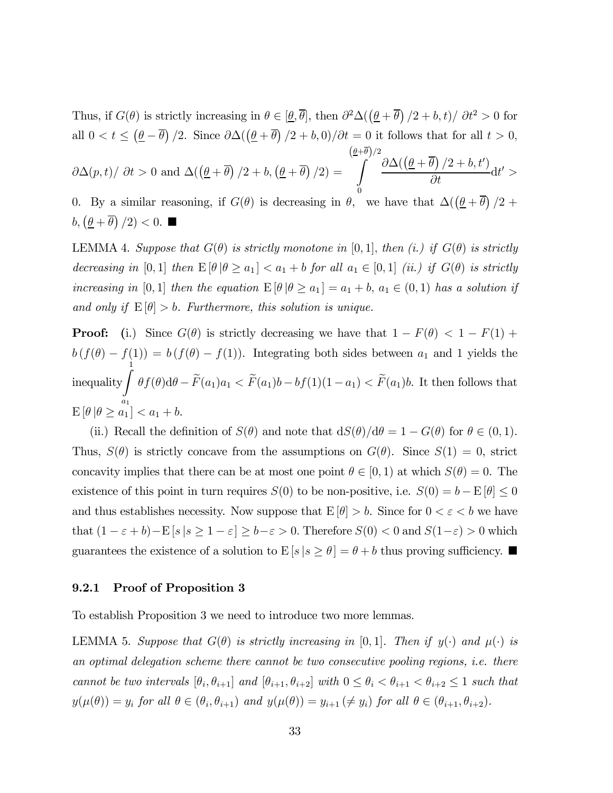Thus, if  $G(\theta)$  is strictly increasing in  $\theta \in [\underline{\theta}, \overline{\theta}]$ , then  $\partial^2 \Delta((\underline{\theta} + \overline{\theta})/2 + b, t)/\partial t^2 > 0$  for all  $0 < t \leq (\underline{\theta} - \overline{\theta})/2$ . Since  $\partial \Delta((\underline{\theta} + \overline{\theta})/2 + b, 0)/\partial t = 0$  it follows that for all  $t > 0$ ,  $\partial \Delta(p,t)/\partial t > 0$  and  $\Delta(\left(\frac{\theta}{r}+\overline{\theta}\right)/2 + b, \left(\frac{\theta}{r}+\overline{\theta}\right)/2) =$  $\left(\underline{\theta}+\overline{\theta}\right)/2$ Z  $\mathbf{0}$  $\partial \Delta(\left(\underline{\theta} + \overline{\theta}\right)/2 + b, t')$  $\frac{\partial f}{\partial t}$  dt' > 0. By a similar reasoning, if  $G(\theta)$  is decreasing in  $\theta$ , we have that  $\Delta((\underline{\theta} + \overline{\theta})/2 +$ 

 $b, (\underline{\theta} + \overline{\theta})/2) < 0.$ 

LEMMA 4. Suppose that  $G(\theta)$  is strictly monotone in [0,1], then (i.) if  $G(\theta)$  is strictly decreasing in [0, 1] then  $E[\theta | \theta \ge a_1] < a_1 + b$  for all  $a_1 \in [0,1]$  (ii.) if  $G(\theta)$  is strictly increasing in [0,1] then the equation  $E[\theta | \theta \ge a_1] = a_1 + b$ ,  $a_1 \in (0,1)$  has a solution if and only if  $E[\theta] > b$ . Furthermore, this solution is unique.

**Proof:** (i.) Since  $G(\theta)$  is strictly decreasing we have that  $1 - F(\theta) < 1 - F(1) +$  $b(f(\theta) - f(1)) = b(f(\theta) - f(1))$ . Integrating both sides between  $a_1$  and 1 yields the inequality  $\int_0^1$  $a_1$  $\theta f(\theta) d\theta - F(a_1)a_1 < F(a_1)b - bf(1)(1-a_1) < F(a_1)b$ . It then follows that  $\mathbb{E} \left[ \theta \, | \theta \geq a_1 \right] < a_1 + b.$ 

(ii.) Recall the definition of  $S(\theta)$  and note that  $dS(\theta)/d\theta = 1 - G(\theta)$  for  $\theta \in (0,1)$ . Thus,  $S(\theta)$  is strictly concave from the assumptions on  $G(\theta)$ . Since  $S(1) = 0$ , strict concavity implies that there can be at most one point  $\theta \in [0,1)$  at which  $S(\theta)=0$ . The existence of this point in turn requires  $S(0)$  to be non-positive, i.e.  $S(0) = b - \mathbb{E}[\theta] \le 0$ and thus establishes necessity. Now suppose that  $E[\theta] > b$ . Since for  $0 < \varepsilon < b$  we have that  $(1 - \varepsilon + b) - \mathbb{E}[s | s \ge 1 - \varepsilon] \ge b - \varepsilon > 0$ . Therefore  $S(0) < 0$  and  $S(1-\varepsilon) > 0$  which guarantees the existence of a solution to  $E [s | s \ge \theta] = \theta + b$  thus proving sufficiency.

#### 9.2.1 Proof of Proposition 3

To establish Proposition 3 we need to introduce two more lemmas.

LEMMA 5. Suppose that  $G(\theta)$  is strictly increasing in [0,1]. Then if  $y(\cdot)$  and  $\mu(\cdot)$  is an optimal delegation scheme there cannot be two consecutive pooling regions, i.e. there cannot be two intervals  $[\theta_i, \theta_{i+1}]$  and  $[\theta_{i+1}, \theta_{i+2}]$  with  $0 \leq \theta_i < \theta_{i+1} < \theta_{i+2} \leq 1$  such that  $y(\mu(\theta)) = y_i$  for all  $\theta \in (\theta_i, \theta_{i+1})$  and  $y(\mu(\theta)) = y_{i+1} \neq y_i$  for all  $\theta \in (\theta_{i+1}, \theta_{i+2})$ .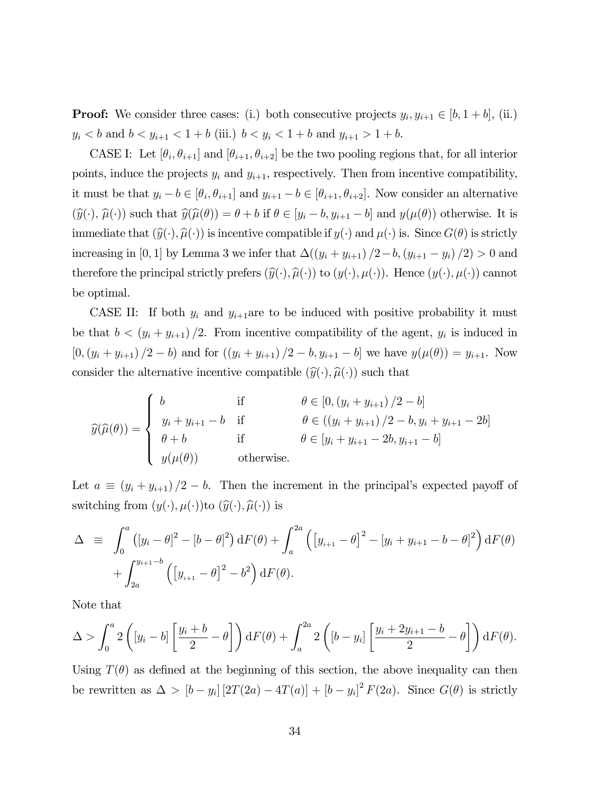**Proof:** We consider three cases: (i.) both consecutive projects  $y_i, y_{i+1} \in [b, 1+b]$ , (ii.)  $y_i < b$  and  $b < y_{i+1} < 1 + b$  (iii.)  $b < y_i < 1 + b$  and  $y_{i+1} > 1 + b$ .

CASE I: Let  $[\theta_i, \theta_{i+1}]$  and  $[\theta_{i+1}, \theta_{i+2}]$  be the two pooling regions that, for all interior points, induce the projects  $y_i$  and  $y_{i+1}$ , respectively. Then from incentive compatibility, it must be that  $y_i - b \in [\theta_i, \theta_{i+1}]$  and  $y_{i+1} - b \in [\theta_{i+1}, \theta_{i+2}]$ . Now consider an alternative  $(\widehat{y}(\cdot), \widehat{\mu}(\cdot))$  such that  $\widehat{y}(\widehat{\mu}(\theta)) = \theta + b$  if  $\theta \in [y_i - b, y_{i+1} - b]$  and  $y(\mu(\theta))$  otherwise. It is immediate that  $(\widehat{y}(\cdot), \widehat{\mu}(\cdot))$  is incentive compatible if  $y(\cdot)$  and  $\mu(\cdot)$  is. Since  $G(\theta)$  is strictly increasing in [0, 1] by Lemma 3 we infer that  $\Delta((y_i + y_{i+1})/2 - b, (y_{i+1} - y_i)/2) > 0$  and therefore the principal strictly prefers  $(\widehat{y}(\cdot), \widehat{\mu}(\cdot))$  to  $(y(\cdot), \mu(\cdot))$ . Hence  $(y(\cdot), \mu(\cdot))$  cannot be optimal.

CASE II: If both  $y_i$  and  $y_{i+1}$  are to be induced with positive probability it must be that  $b < (y_i + y_{i+1})/2$ . From incentive compatibility of the agent,  $y_i$  is induced in  $[0,(y_i + y_{i+1})/2 - b)$  and for  $((y_i + y_{i+1})/2 - b, y_{i+1} - b]$  we have  $y(\mu(\theta)) = y_{i+1}$ . Now consider the alternative incentive compatible  $(\widehat{y}(\cdot), \widehat{\mu}(\cdot))$  such that

$$
\widehat{y}(\widehat{\mu}(\theta)) = \begin{cases}\nb & \text{if } \theta \in [0, (y_i + y_{i+1})/2 - b] \\
y_i + y_{i+1} - b & \text{if } \theta \in ((y_i + y_{i+1})/2 - b, y_i + y_{i+1} - 2b] \\
\theta + b & \text{if } \theta \in [y_i + y_{i+1} - 2b, y_{i+1} - b] \\
y(\mu(\theta)) & \text{otherwise.} \end{cases}
$$

Let  $a \equiv (y_i + y_{i+1})/2 - b$ . Then the increment in the principal's expected payoff of switching from  $(y(\cdot), \mu(\cdot))$  to  $(\widehat{y}(\cdot), \widehat{\mu}(\cdot))$  is

$$
\Delta \equiv \int_0^a ([y_i - \theta]^2 - [b - \theta]^2) dF(\theta) + \int_a^{2a} ([y_{i+1} - \theta]^2 - [y_i + y_{i+1} - b - \theta]^2) dF(\theta) + \int_{2a}^{y_{i+1} - b} ([y_{i+1} - \theta]^2 - b^2) dF(\theta).
$$

Note that

$$
\Delta > \int_0^a 2\left([y_i - b] \left[\frac{y_i + b}{2} - \theta\right]\right) dF(\theta) + \int_a^{2a} 2\left([b - y_i] \left[\frac{y_i + 2y_{i+1} - b}{2} - \theta\right]\right) dF(\theta).
$$

Using  $T(\theta)$  as defined at the beginning of this section, the above inequality can then be rewritten as  $\Delta > [b - y_i] [2T(2a) - 4T(a)] + [b - y_i]^2 F(2a)$ . Since  $G(\theta)$  is strictly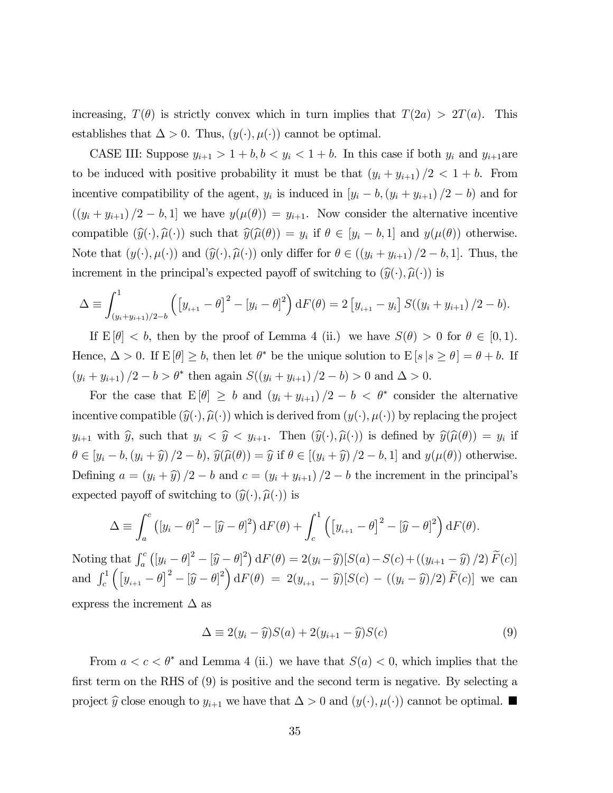increasing,  $T(\theta)$  is strictly convex which in turn implies that  $T(2a) > 2T(a)$ . This establishes that  $\Delta > 0$ . Thus,  $(y(\cdot), \mu(\cdot))$  cannot be optimal.

CASE III: Suppose  $y_{i+1} > 1 + b, b < y_i < 1 + b$ . In this case if both  $y_i$  and  $y_{i+1}$ are to be induced with positive probability it must be that  $(y_i + y_{i+1})/2 < 1 + b$ . From incentive compatibility of the agent,  $y_i$  is induced in  $[y_i - b, (y_i + y_{i+1})/2 - b]$  and for  $((y_i + y_{i+1})/2 - b, 1]$  we have  $y(\mu(\theta)) = y_{i+1}$ . Now consider the alternative incentive compatible  $(\widehat{y}(\cdot), \widehat{\mu}(\cdot))$  such that  $\widehat{y}(\widehat{\mu}(\theta)) = y_i$  if  $\theta \in [y_i - b, 1]$  and  $y(\mu(\theta))$  otherwise. Note that  $(y(\cdot), \mu(\cdot))$  and  $(\widehat{y}(\cdot), \widehat{\mu}(\cdot))$  only differ for  $\theta \in ((y_i + y_{i+1})/2 - b, 1]$ . Thus, the increment in the principal's expected payoff of switching to  $(\widehat{y}(\cdot), \widehat{\mu}(\cdot))$  is

$$
\Delta \equiv \int_{(y_i + y_{i+1})/2 - b}^{1} \left( \left[ y_{i+1} - \theta \right]^2 - \left[ y_i - \theta \right]^2 \right) dF(\theta) = 2 \left[ y_{i+1} - y_i \right] S((y_i + y_{i+1})/2 - b).
$$

If  $E[\theta] < b$ , then by the proof of Lemma 4 (ii.) we have  $S(\theta) > 0$  for  $\theta \in [0,1)$ . Hence,  $\Delta > 0$ . If  $E[\theta] \geq b$ , then let  $\theta^*$  be the unique solution to  $E[s | s \geq \theta] = \theta + b$ . If  $(y_i + y_{i+1})/2 - b > \theta^*$  then again  $S((y_i + y_{i+1})/2 - b) > 0$  and  $\Delta > 0$ .

For the case that  $E[\theta] \geq b$  and  $(y_i + y_{i+1})/2 - b < \theta^*$  consider the alternative incentive compatible  $(\widehat{y}(\cdot), \widehat{\mu}(\cdot))$  which is derived from  $(y(\cdot), \mu(\cdot))$  by replacing the project  $y_{i+1}$  with  $\widehat{y}$ , such that  $y_i < \widehat{y} < y_{i+1}$ . Then  $(\widehat{y}(\cdot), \widehat{\mu}(\cdot))$  is defined by  $\widehat{y}(\widehat{\mu}(\theta)) = y_i$  if  $\theta \in [y_i - b, (y_i + \hat{y})/2 - b), \hat{y}(\hat{\mu}(\theta)) = \hat{y}$  if  $\theta \in [(y_i + \hat{y})/2 - b, 1]$  and  $y(\mu(\theta))$  otherwise. Defining  $a = (y_i + \hat{y})/2 - b$  and  $c = (y_i + y_{i+1})/2 - b$  the increment in the principal's expected payoff of switching to  $(\widehat{y}(\cdot), \widehat{\mu}(\cdot))$  is

$$
\Delta \equiv \int_a^c ([y_i - \theta]^2 - [\widehat{y} - \theta]^2) dF(\theta) + \int_c^1 ([y_{i+1} - \theta]^2 - [\widehat{y} - \theta]^2) dF(\theta).
$$

Noting that  $\int_a^c ([y_i - \theta]^2 - [\widehat{y} - \theta]^2) dF(\theta) = 2(y_i - \widehat{y})[S(a) - S(c) + ((y_{i+1} - \widehat{y})/2) \widetilde{F}(c)]$ and  $\int_{c}^{1} \left( \left[ y_{i+1} - \theta \right]^{2} - \left[ \widehat{y} - \theta \right]^{2} \right) dF(\theta) = 2(y_{i+1} - \widehat{y})[S(c) - ((y_{i} - \widehat{y})/2) \widetilde{F}(c)]$  we can express the increment  $\Delta$  as

$$
\Delta \equiv 2(y_i - \widehat{y})S(a) + 2(y_{i+1} - \widehat{y})S(c)
$$
\n(9)

From  $a < c < \theta^*$  and Lemma 4 (ii.) we have that  $S(a) < 0$ , which implies that the first term on the RHS of (9) is positive and the second term is negative. By selecting a project  $\hat{y}$  close enough to  $y_{i+1}$  we have that  $\Delta > 0$  and  $(y(\cdot), \mu(\cdot))$  cannot be optimal.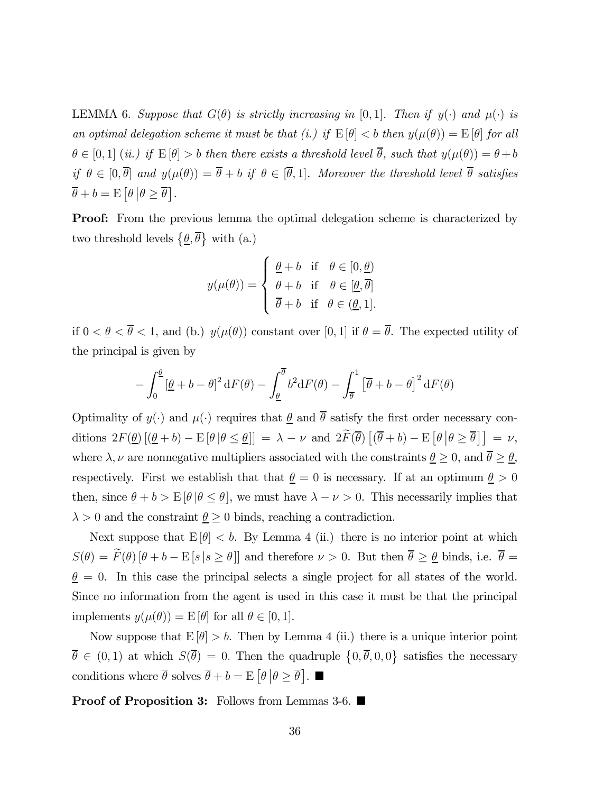LEMMA 6. Suppose that  $G(\theta)$  is strictly increasing in [0,1]. Then if  $y(\cdot)$  and  $\mu(\cdot)$  is an optimal delegation scheme it must be that (i.) if  $E[\theta] < b$  then  $y(\mu(\theta)) = E[\theta]$  for all  $\theta \in [0,1]$  (ii.) if  $E[\theta] > b$  then there exists a threshold level  $\overline{\theta}$ , such that  $y(\mu(\theta)) = \theta + b$ if  $\theta \in [0, \overline{\theta}]$  and  $y(\mu(\theta)) = \overline{\theta} + b$  if  $\theta \in [\overline{\theta}, 1]$ . Moreover the threshold level  $\overline{\theta}$  satisfies  $\overline{\theta} + b = \mathrm{E} \left[ \theta \, \big| \theta \geq \overline{\theta} \right].$ 

**Proof:** From the previous lemma the optimal delegation scheme is characterized by two threshold levels  $\{\underline{\theta}, \overline{\theta}\}\$  with (a.)

$$
y(\mu(\theta)) = \begin{cases} \frac{\theta}{\theta} + b & \text{if } \theta \in [0, \underline{\theta}) \\ \frac{\theta}{\theta} + b & \text{if } \theta \in [\underline{\theta}, \overline{\theta}] \\ \overline{\theta} + b & \text{if } \theta \in (\underline{\theta}, 1]. \end{cases}
$$

if  $0 < \underline{\theta} < \overline{\theta} < 1$ , and (b.)  $y(\mu(\theta))$  constant over [0, 1] if  $\underline{\theta} = \overline{\theta}$ . The expected utility of the principal is given by

$$
- \int_0^{\underline{\theta}} \left[\underline{\theta} + b - \theta\right]^2 dF(\theta) - \int_{\underline{\theta}}^{\overline{\theta}} b^2 dF(\theta) - \int_{\overline{\theta}}^1 \left[\overline{\theta} + b - \theta\right]^2 dF(\theta)
$$

Optimality of  $y(\cdot)$  and  $\mu(\cdot)$  requires that  $\underline{\theta}$  and  $\overline{\theta}$  satisfy the first order necessary conditions  $2F(\underline{\theta}) \left[ (\underline{\theta} + b) - \mathbb{E} [\theta | \theta \leq \underline{\theta}] \right] = \lambda - \nu$  and  $2\tilde{F}(\overline{\theta}) \left[ (\overline{\theta} + b) - \mathbb{E} [\theta | \theta \geq \overline{\theta}] \right] = \nu$ , where  $\lambda, \nu$  are nonnegative multipliers associated with the constraints  $\underline{\theta} \ge 0$ , and  $\overline{\theta} \ge \underline{\theta}$ , respectively. First we establish that that  $\theta = 0$  is necessary. If at an optimum  $\theta > 0$ then, since  $\underline{\theta} + b > E[\theta | \theta \le \underline{\theta}]$ , we must have  $\lambda - \nu > 0$ . This necessarily implies that  $\lambda > 0$  and the constraint  $\underline{\theta} \geq 0$  binds, reaching a contradiction.

Next suppose that  $E[\theta] < b$ . By Lemma 4 (ii.) there is no interior point at which  $S(\theta) = \widetilde{F}(\theta) [\theta + b - \mathbb{E}[s | s \ge \theta]]$  and therefore  $\nu > 0$ . But then  $\overline{\theta} \ge \underline{\theta}$  binds, i.e.  $\overline{\theta} =$  $\theta = 0$ . In this case the principal selects a single project for all states of the world. Since no information from the agent is used in this case it must be that the principal implements  $y(\mu(\theta)) = E[\theta]$  for all  $\theta \in [0, 1]$ .

Now suppose that  $E[\theta] > b$ . Then by Lemma 4 (ii.) there is a unique interior point  $\overline{\theta} \in (0,1)$  at which  $S(\overline{\theta})=0$ . Then the quadruple  $\{0,\overline{\theta},0,0\}$  satisfies the necessary conditions where  $\overline{\theta}$  solves  $\overline{\theta} + b = \mathbb{E} \left[ \theta \middle| \theta \ge \overline{\theta} \right]$ .

**Proof of Proposition 3:** Follows from Lemmas 3-6.  $\blacksquare$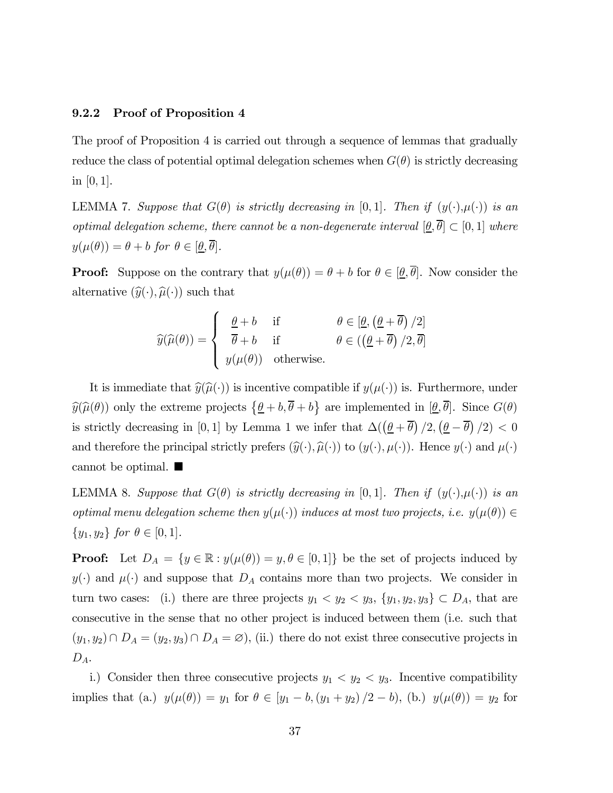#### 9.2.2 Proof of Proposition 4

The proof of Proposition 4 is carried out through a sequence of lemmas that gradually reduce the class of potential optimal delegation schemes when  $G(\theta)$  is strictly decreasing in [0, 1].

LEMMA 7. Suppose that  $G(\theta)$  is strictly decreasing in [0,1]. Then if  $(y(\cdot), \mu(\cdot))$  is an optimal delegation scheme, there cannot be a non-degenerate interval  $[\underline{\theta}, \overline{\theta}] \subset [0, 1]$  where  $y(\mu(\theta)) = \theta + b$  for  $\theta \in [\underline{\theta}, \overline{\theta}].$ 

**Proof:** Suppose on the contrary that  $y(\mu(\theta)) = \theta + b$  for  $\theta \in [\underline{\theta}, \overline{\theta}]$ . Now consider the alternative  $(\widehat{y}(\cdot), \widehat{\mu}(\cdot))$  such that

$$
\widehat{y}(\widehat{\mu}(\theta)) = \begin{cases}\n\frac{\theta + b}{\theta + b} & \text{if } \theta \in [\underline{\theta}, (\underline{\theta} + \overline{\theta})/2] \\
\frac{\theta + b}{\theta + b} & \text{if } \theta \in ((\underline{\theta} + \overline{\theta})/2, \overline{\theta}] \\
y(\mu(\theta)) & \text{otherwise.} \n\end{cases}
$$

It is immediate that  $\widehat{y}(\widehat{\mu}(\cdot))$  is incentive compatible if  $y(\mu(\cdot))$  is. Furthermore, under  $\widehat{y}(\widehat{\mu}(\theta))$  only the extreme projects  $\{\underline{\theta} + b, \overline{\theta} + b\}$  are implemented in  $[\underline{\theta}, \overline{\theta}]$ . Since  $G(\theta)$ is strictly decreasing in [0,1] by Lemma 1 we infer that  $\Delta(\left(\underline{\theta} + \overline{\theta}\right)/2, \left(\underline{\theta} - \overline{\theta}\right)/2) < 0$ and therefore the principal strictly prefers  $(\widehat{y}(\cdot), \widehat{\mu}(\cdot))$  to  $(y(\cdot), \mu(\cdot))$ . Hence  $y(\cdot)$  and  $\mu(\cdot)$ cannot be optimal.  $\blacksquare$ 

LEMMA 8. Suppose that  $G(\theta)$  is strictly decreasing in [0,1]. Then if  $(y(\cdot), \mu(\cdot))$  is an optimal menu delegation scheme then  $y(\mu(\cdot))$  induces at most two projects, i.e.  $y(\mu(\theta)) \in$  $\{y_1, y_2\}$  for  $\theta \in [0, 1]$ .

**Proof:** Let  $D_A = \{y \in \mathbb{R} : y(\mu(\theta)) = y, \theta \in [0,1]\}$  be the set of projects induced by  $y(\cdot)$  and  $\mu(\cdot)$  and suppose that  $D_A$  contains more than two projects. We consider in turn two cases: (i.) there are three projects  $y_1 < y_2 < y_3$ ,  $\{y_1, y_2, y_3\} \subset D_A$ , that are consecutive in the sense that no other project is induced between them (i.e. such that  $(y_1, y_2) \cap D_A = (y_2, y_3) \cap D_A = \emptyset$ , (ii.) there do not exist three consecutive projects in  $D_A$ .

i.) Consider then three consecutive projects  $y_1 < y_2 < y_3$ . Incentive compatibility implies that (a.)  $y(\mu(\theta)) = y_1$  for  $\theta \in [y_1 - b, (y_1 + y_2)/2 - b),$  (b.)  $y(\mu(\theta)) = y_2$  for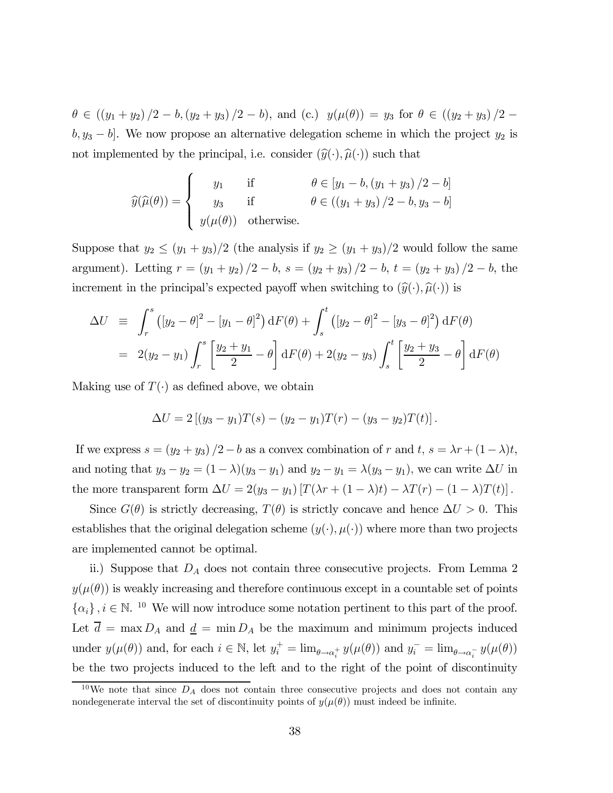$\theta \in ((y_1 + y_2)/2 - b, (y_2 + y_3)/2 - b),$  and (c.)  $y(\mu(\theta)) = y_3$  for  $\theta \in ((y_2 + y_3)/2 - b)$  $b, y_3 - b$ . We now propose an alternative delegation scheme in which the project  $y_2$  is not implemented by the principal, i.e. consider  $(\widehat{y}(\cdot), \widehat{\mu}(\cdot))$  such that

$$
\widehat{y}(\widehat{\mu}(\theta)) = \begin{cases}\ny_1 & \text{if } \theta \in [y_1 - b, (y_1 + y_3)/2 - b] \\
y_3 & \text{if } \theta \in ((y_1 + y_3)/2 - b, y_3 - b] \\
y(\mu(\theta)) & \text{otherwise.} \n\end{cases}
$$

Suppose that  $y_2 \le (y_1 + y_3)/2$  (the analysis if  $y_2 \ge (y_1 + y_3)/2$  would follow the same argument). Letting  $r = (y_1 + y_2)/2 - b$ ,  $s = (y_2 + y_3)/2 - b$ ,  $t = (y_2 + y_3)/2 - b$ , the increment in the principal's expected payoff when switching to  $(\hat{y}(\cdot), \hat{\mu}(\cdot))$  is

$$
\Delta U = \int_{r}^{s} ([y_2 - \theta]^2 - [y_1 - \theta]^2) dF(\theta) + \int_{s}^{t} ([y_2 - \theta]^2 - [y_3 - \theta]^2) dF(\theta)
$$
  
=  $2(y_2 - y_1) \int_{r}^{s} \left[ \frac{y_2 + y_1}{2} - \theta \right] dF(\theta) + 2(y_2 - y_3) \int_{s}^{t} \left[ \frac{y_2 + y_3}{2} - \theta \right] dF(\theta)$ 

Making use of  $T(\cdot)$  as defined above, we obtain

$$
\Delta U = 2 [(y_3 - y_1)T(s) - (y_2 - y_1)T(r) - (y_3 - y_2)T(t)].
$$

If we express  $s = (y_2 + y_3)/2 - b$  as a convex combination of r and t,  $s = \lambda r + (1 - \lambda)t$ , and noting that  $y_3 - y_2 = (1 - \lambda)(y_3 - y_1)$  and  $y_2 - y_1 = \lambda(y_3 - y_1)$ , we can write  $\Delta U$  in the more transparent form  $\Delta U = 2(y_3 - y_1) [T(\lambda r + (1 - \lambda)t) - \lambda T(r) - (1 - \lambda) T(t)].$ 

Since  $G(\theta)$  is strictly decreasing,  $T(\theta)$  is strictly concave and hence  $\Delta U > 0$ . This establishes that the original delegation scheme  $(y(\cdot), \mu(\cdot))$  where more than two projects are implemented cannot be optimal.

ii.) Suppose that  $D_A$  does not contain three consecutive projects. From Lemma 2  $y(\mu(\theta))$  is weakly increasing and therefore continuous except in a countable set of points  $\{\alpha_i\}, i \in \mathbb{N}$ . <sup>10</sup> We will now introduce some notation pertinent to this part of the proof. Let  $\overline{d} = \max D_A$  and  $\underline{d} = \min D_A$  be the maximum and minimum projects induced under  $y(\mu(\theta))$  and, for each  $i \in \mathbb{N}$ , let  $y_i^+ = \lim_{\theta \to \alpha_i^+} y(\mu(\theta))$  and  $y_i^- = \lim_{\theta \to \alpha_i^-} y(\mu(\theta))$ be the two projects induced to the left and to the right of the point of discontinuity

<sup>&</sup>lt;sup>10</sup>We note that since  $D_A$  does not contain three consecutive projects and does not contain any nondegenerate interval the set of discontinuity points of  $y(\mu(\theta))$  must indeed be infinite.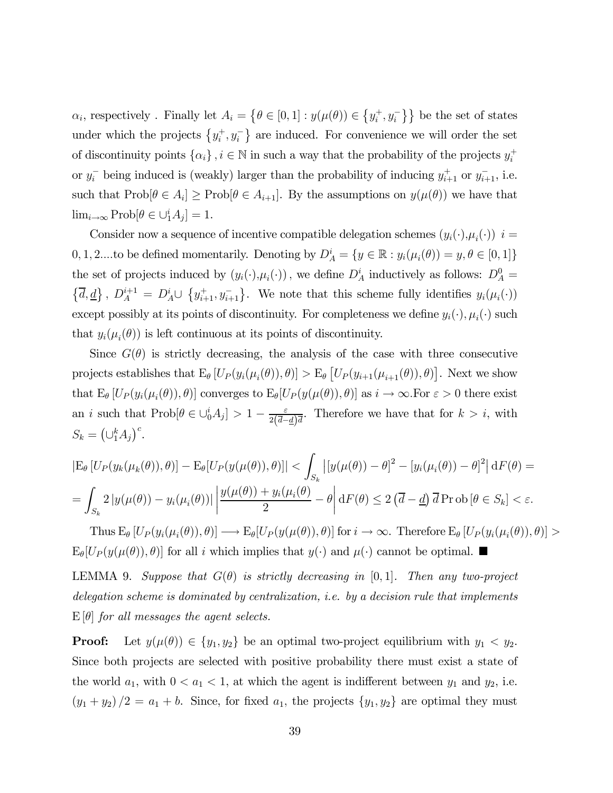$\alpha_i$ , respectively . Finally let  $A_i = \{ \theta \in [0,1] : y(\mu(\theta)) \in \{y_i^+, y_i^-\} \}$  be the set of states under which the projects  $\{y_i^+, y_i^-\}$  are induced. For convenience we will order the set of discontinuity points  $\{\alpha_i\}$ ,  $i \in \mathbb{N}$  in such a way that the probability of the projects  $y_i^+$ or  $y_i^-$  being induced is (weakly) larger than the probability of inducing  $y_{i+1}^+$  or  $y_{i+1}^-$ , i.e. such that  $\text{Prob}[\theta \in A_i] \geq \text{Prob}[\theta \in A_{i+1}]$ . By the assumptions on  $y(\mu(\theta))$  we have that  $\lim_{i\to\infty} \text{Prob}[\theta \in \bigcup_{i=1}^{i} A_{j}] = 1.$ 

Consider now a sequence of incentive compatible delegation schemes  $(y_i(\cdot), \mu_i(\cdot))$  i = 0, 1, 2....to be defined momentarily. Denoting by  $D_A^i = \{y \in \mathbb{R} : y_i(\mu_i(\theta)) = y, \theta \in [0, 1]\}$ the set of projects induced by  $(y_i(\cdot), \mu_i(\cdot))$ , we define  $D_A^i$  inductively as follows:  $D_A^0 =$  $\{\overline{d}, \underline{d}\}, D_A^{i+1} = D_A^i \cup \{y_{i+1}^+, y_{i+1}^-\}$ . We note that this scheme fully identifies  $y_i(\mu_i(\cdot))$ except possibly at its points of discontinuity. For completeness we define  $y_i(\cdot), \mu_i(\cdot)$  such that  $y_i(\mu_i(\theta))$  is left continuous at its points of discontinuity.

Since  $G(\theta)$  is strictly decreasing, the analysis of the case with three consecutive projects establishes that  $E_{\theta}[U_P(y_i(\mu_i(\theta)), \theta)] > E_{\theta}[U_P(y_{i+1}(\mu_{i+1}(\theta)), \theta)].$  Next we show that  $E_{\theta} [U_P(y_i(\mu_i(\theta)), \theta)]$  converges to  $E_{\theta} [U_P(y(\mu(\theta)), \theta)]$  as  $i \to \infty$ . For  $\varepsilon > 0$  there exist an *i* such that  $\text{Prob}[\theta \in \bigcup_{i=0}^{i} A_i] > 1 - \frac{\varepsilon}{2(\overline{d} - \underline{d})\overline{d}}$ . Therefore we have that for  $k > i$ , with  $S_k = \left(\bigcup_{i=1}^k A_i\right)^c$ .

$$
|\mathcal{E}_{\theta}[U_{P}(y_{k}(\mu_{k}(\theta)),\theta)] - \mathcal{E}_{\theta}[U_{P}(y(\mu(\theta)),\theta)]| < \int_{S_{k}} |[y(\mu(\theta)) - \theta]^{2} - [y_{i}(\mu_{i}(\theta)) - \theta]^{2}| dF(\theta) =
$$
  
= 
$$
\int_{S_{k}} 2 |y(\mu(\theta)) - y_{i}(\mu_{i}(\theta))| \left| \frac{y(\mu(\theta)) + y_{i}(\mu_{i}(\theta))}{2} - \theta \right| dF(\theta) \leq 2 (\overline{d} - \underline{d}) \overline{d} \operatorname{Prob}[\theta \in S_{k}] < \varepsilon.
$$

Thus  $E_{\theta} [U_P(y_i(\mu_i(\theta)), \theta)] \longrightarrow E_{\theta} [U_P(y(\mu(\theta)), \theta)]$  for  $i \to \infty$ . Therefore  $E_{\theta} [U_P(y_i(\mu_i(\theta)), \theta)] >$  $E_{\theta}[U_P(y(\mu(\theta)), \theta)]$  for all i which implies that  $y(\cdot)$  and  $\mu(\cdot)$  cannot be optimal.

LEMMA 9. Suppose that  $G(\theta)$  is strictly decreasing in [0,1]. Then any two-project delegation scheme is dominated by centralization, i.e. by a decision rule that implements  $E[\theta]$  for all messages the agent selects.

**Proof:** Let  $y(\mu(\theta)) \in \{y_1, y_2\}$  be an optimal two-project equilibrium with  $y_1 < y_2$ . Since both projects are selected with positive probability there must exist a state of the world  $a_1$ , with  $0 < a_1 < 1$ , at which the agent is indifferent between  $y_1$  and  $y_2$ , i.e.  $(y_1 + y_2)/2 = a_1 + b$ . Since, for fixed  $a_1$ , the projects  $\{y_1, y_2\}$  are optimal they must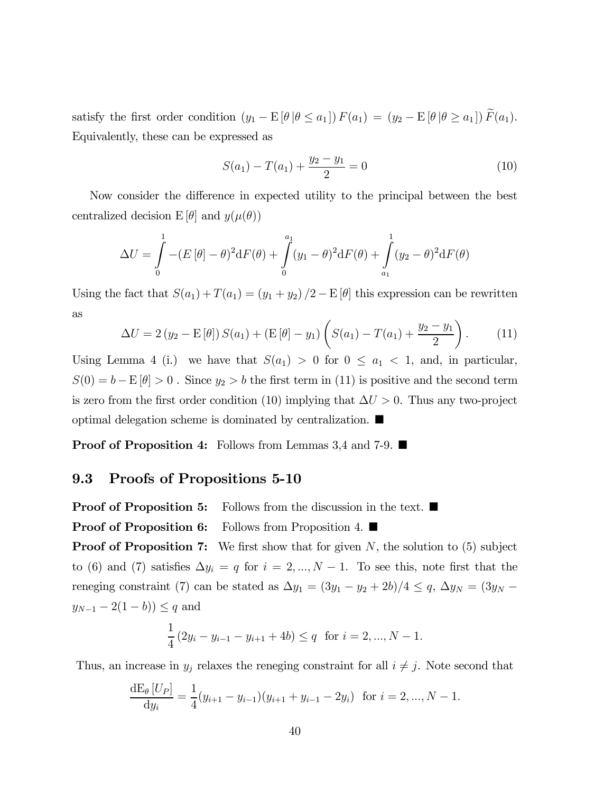satisfy the first order condition  $(y_1 - E[\theta | \theta \le a_1]) F(a_1) = (y_2 - E[\theta | \theta \ge a_1]) \widetilde{F}(a_1)$ . Equivalently, these can be expressed as

$$
S(a_1) - T(a_1) + \frac{y_2 - y_1}{2} = 0 \tag{10}
$$

Now consider the difference in expected utility to the principal between the best centralized decision  $E[\theta]$  and  $y(\mu(\theta))$ 

$$
\Delta U = \int_{0}^{1} -(E[\theta] - \theta)^{2} dF(\theta) + \int_{0}^{a_{1}} (y_{1} - \theta)^{2} dF(\theta) + \int_{a_{1}}^{1} (y_{2} - \theta)^{2} dF(\theta)
$$

Using the fact that  $S(a_1) + T(a_1) = (y_1 + y_2)/2 - E[\theta]$  this expression can be rewritten as

$$
\Delta U = 2 (y_2 - \mathbf{E}[\theta]) S(a_1) + (\mathbf{E}[\theta] - y_1) \left( S(a_1) - T(a_1) + \frac{y_2 - y_1}{2} \right). \tag{11}
$$

Using Lemma 4 (i.) we have that  $S(a_1) > 0$  for  $0 \le a_1 < 1$ , and, in particular,  $S(0) = b - \mathbb{E}[\theta] > 0$ . Since  $y_2 > b$  the first term in (11) is positive and the second term is zero from the first order condition (10) implying that  $\Delta U > 0$ . Thus any two-project optimal delegation scheme is dominated by centralization.  $\blacksquare$ 

**Proof of Proposition 4:** Follows from Lemmas 3,4 and 7-9.  $\blacksquare$ 

#### 9.3 Proofs of Propositions 5-10

**Proof of Proposition 5:** Follows from the discussion in the text.  $\blacksquare$ 

**Proof of Proposition 6:** Follows from Proposition 4.  $\blacksquare$ 

**Proof of Proposition 7:** We first show that for given  $N$ , the solution to (5) subject to (6) and (7) satisfies  $\Delta y_i = q$  for  $i = 2, ..., N - 1$ . To see this, note first that the reneging constraint (7) can be stated as  $\Delta y_1 = (3y_1 - y_2 + 2b)/4 \le q$ ,  $\Delta y_N = (3y_N - b)$  $y_{N-1} - 2(1-b) \leq q$  and

$$
\frac{1}{4} (2y_i - y_{i-1} - y_{i+1} + 4b) \le q \text{ for } i = 2, ..., N - 1.
$$

Thus, an increase in  $y_j$  relaxes the reneging constraint for all  $i \neq j$ . Note second that

$$
\frac{\mathrm{d}E_{\theta}[U_P]}{\mathrm{d}y_i} = \frac{1}{4}(y_{i+1} - y_{i-1})(y_{i+1} + y_{i-1} - 2y_i) \text{ for } i = 2, ..., N - 1.
$$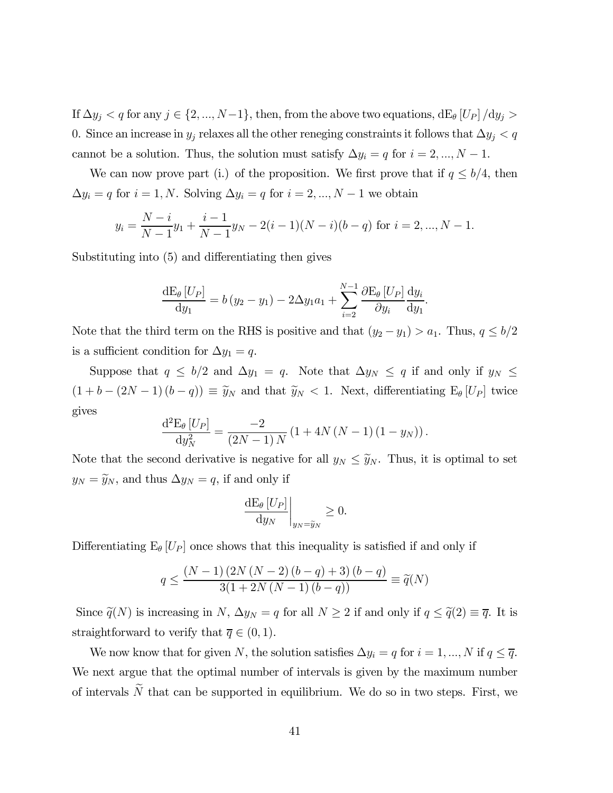If  $\Delta y_j < q$  for any  $j \in \{2, ..., N-1\}$ , then, from the above two equations,  $dE_{\theta}$  [ $U_P$ ]  $/dy_j >$ 0. Since an increase in  $y_j$  relaxes all the other reneging constraints it follows that  $\Delta y_j < q$ cannot be a solution. Thus, the solution must satisfy  $\Delta y_i = q$  for  $i = 2, ..., N - 1$ .

We can now prove part (i.) of the proposition. We first prove that if  $q \leq b/4$ , then  $\Delta y_i = q$  for  $i = 1, N$ . Solving  $\Delta y_i = q$  for  $i = 2, ..., N - 1$  we obtain

$$
y_i = \frac{N-i}{N-1}y_1 + \frac{i-1}{N-1}y_N - 2(i-1)(N-i)(b-q)
$$
 for  $i = 2, ..., N-1$ .

Substituting into (5) and differentiating then gives

$$
\frac{\mathrm{d}E_{\theta}[U_P]}{\mathrm{d}y_1} = b(y_2 - y_1) - 2\Delta y_1 a_1 + \sum_{i=2}^{N-1} \frac{\partial \mathrm{E}_{\theta}[U_P]}{\partial y_i} \frac{\mathrm{d}y_i}{\mathrm{d}y_1}.
$$

Note that the third term on the RHS is positive and that  $(y_2 - y_1) > a_1$ . Thus,  $q \le b/2$ is a sufficient condition for  $\Delta y_1 = q$ .

Suppose that  $q \le b/2$  and  $\Delta y_1 = q$ . Note that  $\Delta y_N \le q$  if and only if  $y_N \le$  $(1 + b - (2N - 1)(b - q)) \equiv \tilde{y}_N$  and that  $\tilde{y}_N < 1$ . Next, differentiating  $E_{\theta}[U_P]$  twice gives

$$
\frac{\mathrm{d}^{2} \mathrm{E}_{\theta} [U_{P}]}{\mathrm{d} y_{N}^{2}} = \frac{-2}{(2N-1) N} (1 + 4N(N-1) (1 - y_{N})).
$$

Note that the second derivative is negative for all  $y_N \leq \tilde{y}_N$ . Thus, it is optimal to set  $y_N = \tilde{y}_N$ , and thus  $\Delta y_N = q$ , if and only if

$$
\left. \frac{\mathrm{d} \mathrm{E}_{\theta} \left[ U_P \right]}{\mathrm{d} y_N} \right|_{y_N = \widetilde{y}_N} \ge 0.
$$

Differentiating  $E_{\theta} |U_P|$  once shows that this inequality is satisfied if and only if

$$
q \le \frac{(N-1)\,(2N\,(N-2)\,(b-q)+3)\,(b-q)}{3(1+2N\,(N-1)\,(b-q))} \equiv \widetilde{q}(N)
$$

Since  $\tilde{q}(N)$  is increasing in N,  $\Delta y_N = q$  for all  $N \geq 2$  if and only if  $q \leq \tilde{q}(2) \equiv \overline{q}$ . It is straightforward to verify that  $\overline{q} \in (0,1)$ .

We now know that for given N, the solution satisfies  $\Delta y_i = q$  for  $i = 1, ..., N$  if  $q \leq \overline{q}$ . We next argue that the optimal number of intervals is given by the maximum number of intervals  $\tilde{N}$  that can be supported in equilibrium. We do so in two steps. First, we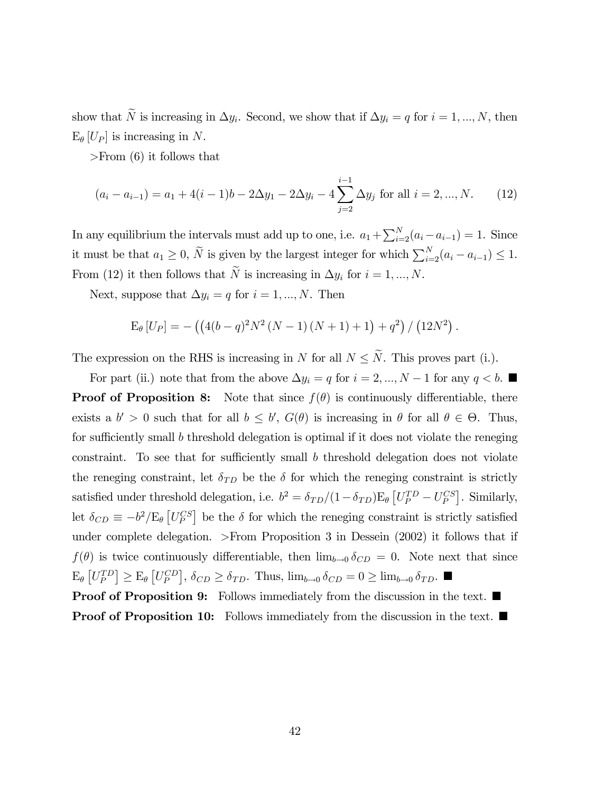show that  $\widetilde{N}$  is increasing in  $\Delta y_i$ . Second, we show that if  $\Delta y_i = q$  for  $i = 1, ..., N$ , then  $E_{\theta}$  [ $U_P$ ] is increasing in N.

>From (6) it follows that

$$
(a_i - a_{i-1}) = a_1 + 4(i - 1)b - 2\Delta y_1 - 2\Delta y_i - 4\sum_{j=2}^{i-1} \Delta y_j \text{ for all } i = 2, ..., N. \tag{12}
$$

In any equilibrium the intervals must add up to one, i.e.  $a_1 + \sum_{i=2}^{N} (a_i - a_{i-1}) = 1$ . Since it must be that  $a_1 \geq 0$ ,  $\widetilde{N}$  is given by the largest integer for which  $\sum_{i=2}^{N} (a_i - a_{i-1}) \leq 1$ . From (12) it then follows that  $\widetilde{N}$  is increasing in  $\Delta y_i$  for  $i = 1, ..., N$ .

Next, suppose that  $\Delta y_i = q$  for  $i = 1, ..., N$ . Then

$$
E_{\theta}[U_P] = -((4(b-q)^2N^2(N-1)(N+1)+1)+q^2)/(12N^2).
$$

The expression on the RHS is increasing in N for all  $N \leq \tilde{N}$ . This proves part (i.).

For part (ii.) note that from the above  $\Delta y_i = q$  for  $i = 2, ..., N - 1$  for any  $q < b$ . **Proof of Proposition 8:** Note that since  $f(\theta)$  is continuously differentiable, there exists a  $b' > 0$  such that for all  $b \leq b'$ ,  $G(\theta)$  is increasing in  $\theta$  for all  $\theta \in \Theta$ . Thus, for sufficiently small b threshold delegation is optimal if it does not violate the reneging constraint. To see that for sufficiently small  $b$  threshold delegation does not violate the reneging constraint, let  $\delta_{TD}$  be the  $\delta$  for which the reneging constraint is strictly satisfied under threshold delegation, i.e.  $b^2 = \delta_{TD}/(1-\delta_{TD})\mathbb{E}_{\theta}\left[U_P^{TD} - U_P^{CS}\right]$ . Similarly, let  $\delta_{CD} \equiv -b^2/E_\theta \left[ U_P^{CS} \right]$  be the  $\delta$  for which the reneging constraint is strictly satisfied under complete delegation. >From Proposition 3 in Dessein (2002) it follows that if  $f(\theta)$  is twice continuously differentiable, then  $\lim_{b\to 0} \delta_{CD} = 0$ . Note next that since  $\mathbb{E}_{\theta}\left[U_P^{TD}\right] \geq \mathbb{E}_{\theta}\left[U_P^{CD}\right], \, \delta_{CD} \geq \delta_{TD}.$  Thus,  $\lim_{b \to 0} \delta_{CD} = 0 \geq \lim_{b \to 0} \delta_{TD}.$ **Proof of Proposition 9:** Follows immediately from the discussion in the text.  $\blacksquare$ 

**Proof of Proposition 10:** Follows immediately from the discussion in the text.  $\blacksquare$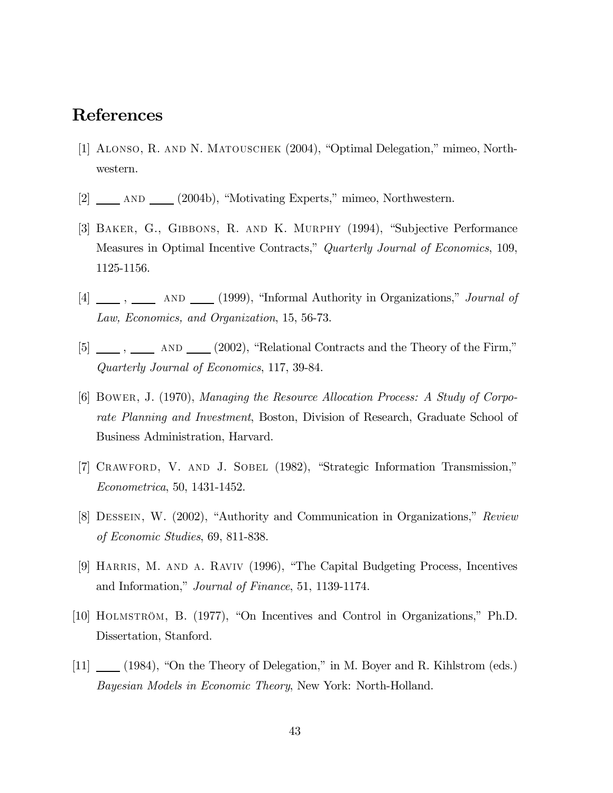# References

- [1] Alonso, R. and N. Matouschek (2004), "Optimal Delegation," mimeo, Northwestern.
- [2] and (2004b), "Motivating Experts," mimeo, Northwestern.
- [3] Baker, G., Gibbons, R. and K. Murphy (1994), "Subjective Performance Measures in Optimal Incentive Contracts," Quarterly Journal of Economics, 109, 1125-1156.
- $[4]$   $\_\_\_\_$ ,  $\_\_\_\_\$  AND  $\_\_\_\_$  (1999), "Informal Authority in Organizations," *Journal of* Law, Economics, and Organization, 15, 56-73.
- $[5]$   $\qquad \qquad$ ,  $\qquad \qquad$  AND  $\qquad \qquad$  (2002), "Relational Contracts and the Theory of the Firm," Quarterly Journal of Economics, 117, 39-84.
- [6] Bower, J. (1970), Managing the Resource Allocation Process: A Study of Corporate Planning and Investment, Boston, Division of Research, Graduate School of Business Administration, Harvard.
- [7] Crawford, V. and J. Sobel (1982), "Strategic Information Transmission," Econometrica, 50, 1431-1452.
- [8] Dessein, W. (2002), "Authority and Communication in Organizations," Review of Economic Studies, 69, 811-838.
- [9] HARRIS, M. AND A. RAVIV (1996), "The Capital Budgeting Process, Incentives and Information," Journal of Finance, 51, 1139-1174.
- [10] Holmström, B. (1977), "On Incentives and Control in Organizations," Ph.D. Dissertation, Stanford.
- [11] (1984), "On the Theory of Delegation," in M. Boyer and R. Kihlstrom (eds.) Bayesian Models in Economic Theory, New York: North-Holland.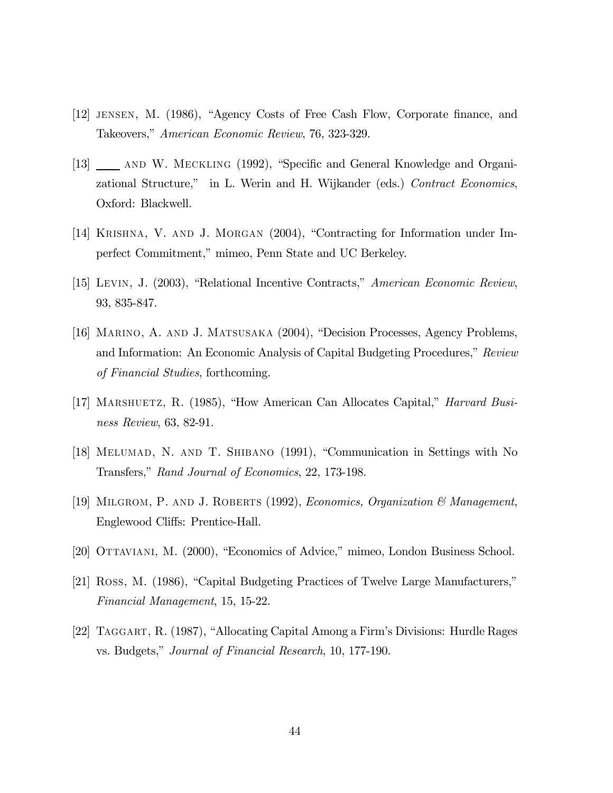- [12] jensen, M. (1986), "Agency Costs of Free Cash Flow, Corporate finance, and Takeovers," American Economic Review, 76, 323-329.
- [13] \_\_\_\_ AND W. MECKLING (1992), "Specific and General Knowledge and Organizational Structure," in L. Werin and H. Wijkander (eds.) Contract Economics, Oxford: Blackwell.
- [14] Krishna, V. and J. Morgan (2004), "Contracting for Information under Imperfect Commitment," mimeo, Penn State and UC Berkeley.
- [15] Levin, J. (2003), "Relational Incentive Contracts," American Economic Review, 93, 835-847.
- [16] Marino, A. and J. Matsusaka (2004), "Decision Processes, Agency Problems, and Information: An Economic Analysis of Capital Budgeting Procedures," Review of Financial Studies, forthcoming.
- [17] MARSHUETZ, R. (1985), "How American Can Allocates Capital," *Harvard Busi*ness Review, 63, 82-91.
- [18] Melumad, N. and T. Shibano (1991), "Communication in Settings with No Transfers," Rand Journal of Economics, 22, 173-198.
- [19] Milgrom, P. and J. Roberts (1992), Economics, Organization & Management, Englewood Cliffs: Prentice-Hall.
- [20] Ottaviani, M. (2000), "Economics of Advice," mimeo, London Business School.
- [21] Ross, M. (1986), "Capital Budgeting Practices of Twelve Large Manufacturers," Financial Management, 15, 15-22.
- [22] Taggart, R. (1987), "Allocating Capital Among a Firm's Divisions: Hurdle Rages vs. Budgets," Journal of Financial Research, 10, 177-190.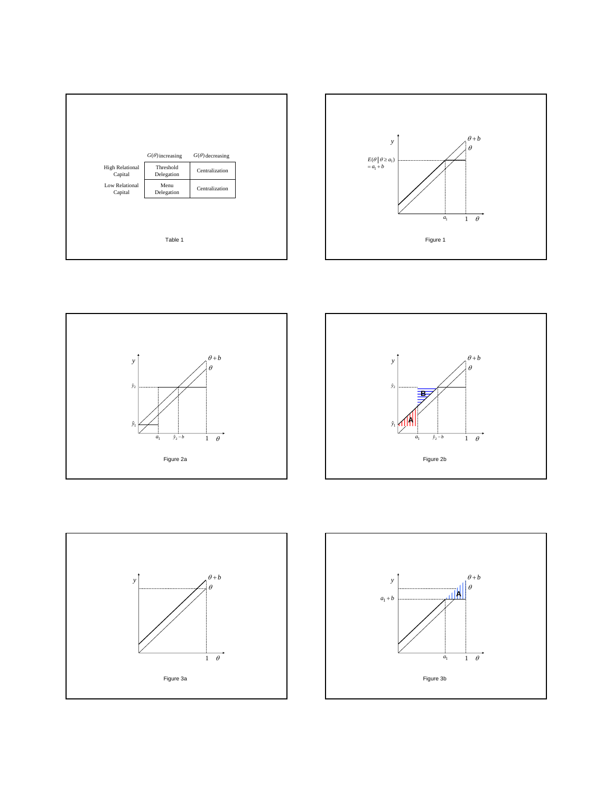